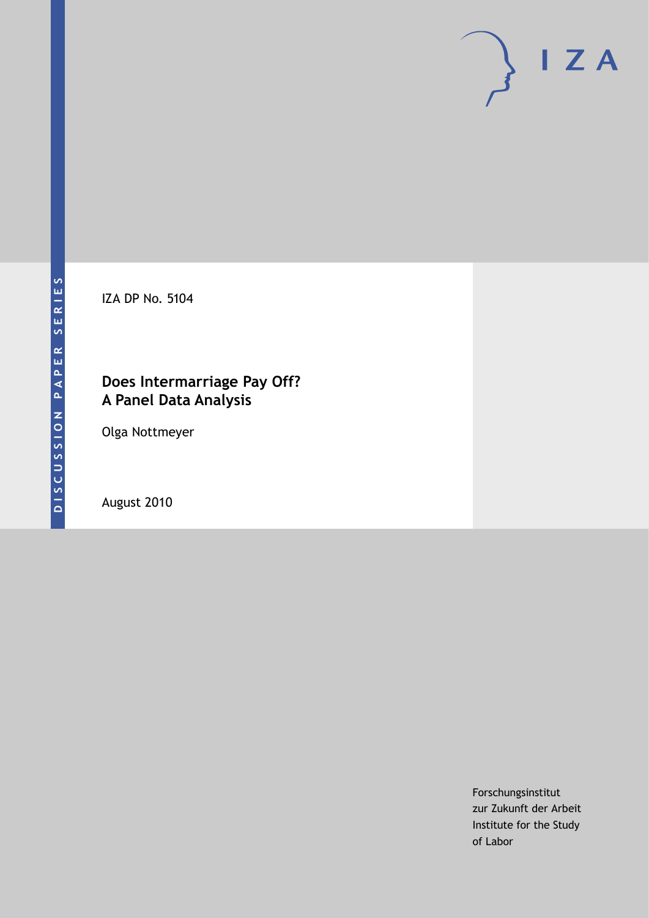

IZA DP No. 5104

# **Does Intermarriage Pay Off? A Panel Data Analysis**

Olga Nottmeyer

August 2010

Forschungsinstitut zur Zukunft der Arbeit Institute for the Study of Labor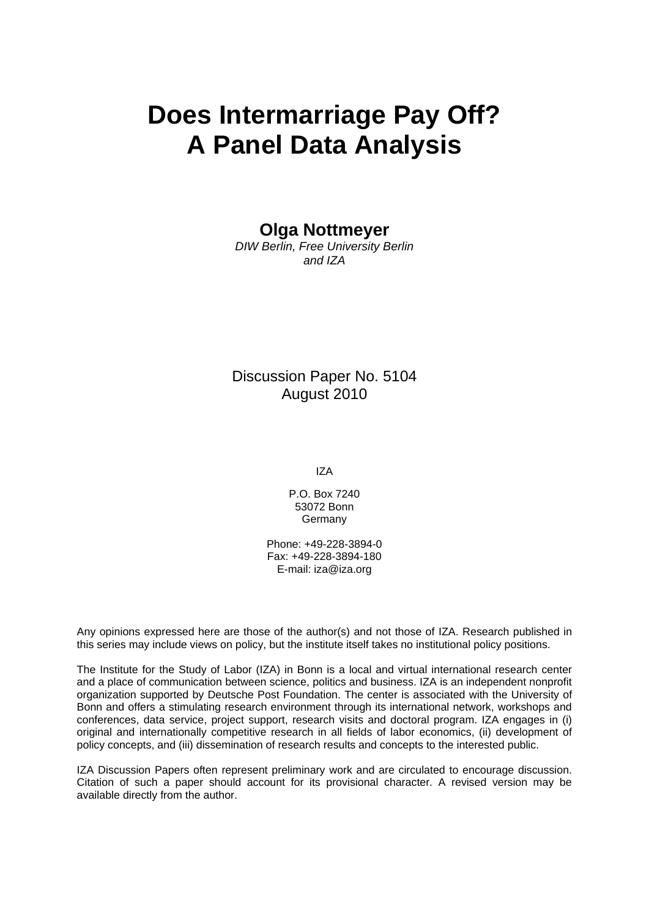# **Does Intermarriage Pay Off? A Panel Data Analysis**

#### **Olga Nottmeyer**

*DIW Berlin, Free University Berlin and IZA* 

Discussion Paper No. 5104 August 2010

IZA

P.O. Box 7240 53072 Bonn Germany

Phone: +49-228-3894-0 Fax: +49-228-3894-180 E-mail: [iza@iza.org](mailto:iza@iza.org) 

Any opinions expressed here are those of the author(s) and not those of IZA. Research published in this series may include views on policy, but the institute itself takes no institutional policy positions.

The Institute for the Study of Labor (IZA) in Bonn is a local and virtual international research center and a place of communication between science, politics and business. IZA is an independent nonprofit organization supported by Deutsche Post Foundation. The center is associated with the University of Bonn and offers a stimulating research environment through its international network, workshops and conferences, data service, project support, research visits and doctoral program. IZA engages in (i) original and internationally competitive research in all fields of labor economics, (ii) development of policy concepts, and (iii) dissemination of research results and concepts to the interested public.

IZA Discussion Papers often represent preliminary work and are circulated to encourage discussion. Citation of such a paper should account for its provisional character. A revised version may be available directly from the author.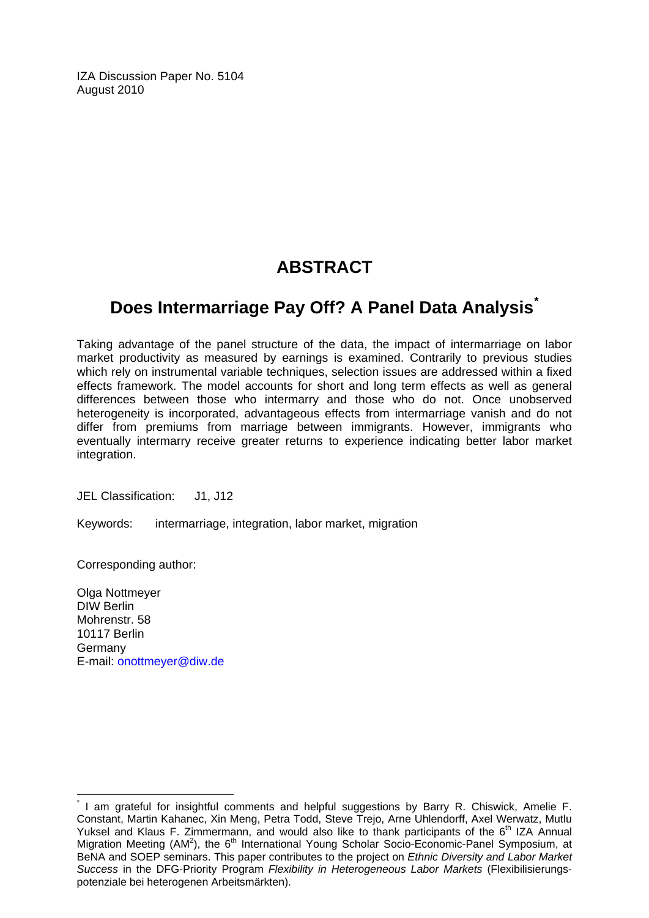IZA Discussion Paper No. 5104 August 2010

# **ABSTRACT**

# **Does Intermarriage Pay Off? A Panel Data Analysis[\\*](#page-2-0)**

Taking advantage of the panel structure of the data, the impact of intermarriage on labor market productivity as measured by earnings is examined. Contrarily to previous studies which rely on instrumental variable techniques, selection issues are addressed within a fixed effects framework. The model accounts for short and long term effects as well as general differences between those who intermarry and those who do not. Once unobserved heterogeneity is incorporated, advantageous effects from intermarriage vanish and do not differ from premiums from marriage between immigrants. However, immigrants who eventually intermarry receive greater returns to experience indicating better labor market integration.

JEL Classification: J1, J12

Keywords: intermarriage, integration, labor market, migration

Corresponding author:

 $\overline{a}$ 

Olga Nottmeyer DIW Berlin Mohrenstr. 58 10117 Berlin Germany E-mail: [onottmeyer@diw.de](mailto:onottmeyer@diw.de)

<span id="page-2-0"></span><sup>\*</sup> I am grateful for insightful comments and helpful suggestions by Barry R. Chiswick, Amelie F. Constant, Martin Kahanec, Xin Meng, Petra Todd, Steve Trejo, Arne Uhlendorff, Axel Werwatz, Mutlu Yuksel and Klaus F. Zimmermann, and would also like to thank participants of the 6<sup>th</sup> IZA Annual Migration Meeting (AM<sup>2</sup>), the 6<sup>th</sup> International Young Scholar Socio-Economic-Panel Symposium, at BeNA and SOEP seminars. This paper contributes to the project on *Ethnic Diversity and Labor Market Success* in the DFG-Priority Program *Flexibility in Heterogeneous Labor Markets* (Flexibilisierungspotenziale bei heterogenen Arbeitsmärkten).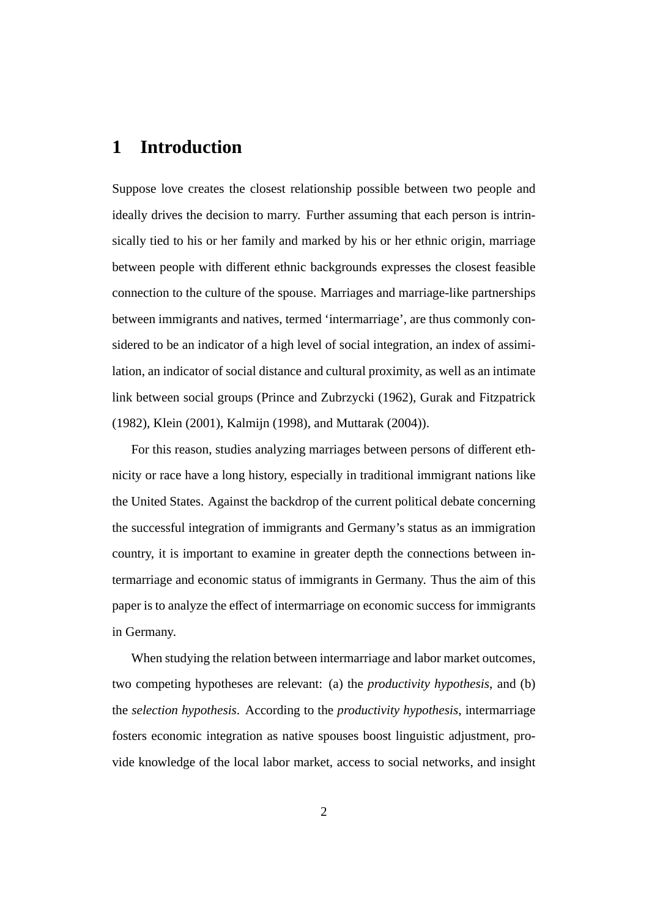## **1 Introduction**

Suppose love creates the closest relationship possible between two people and ideally drives the decision to marry. Further assuming that each person is intrinsically tied to his or her family and marked by his or her ethnic origin, marriage between people with different ethnic backgrounds expresses the closest feasible connection to the culture of the spouse. Marriages and marriage-like partnerships between immigrants and natives, termed 'intermarriage', are thus commonly considered to be an indicator of a high level of social integration, an index of assimilation, an indicator of social distance and cultural proximity, as well as an intimate link between social groups (Prince and Zubrzycki (1962), Gurak and Fitzpatrick (1982), Klein (2001), Kalmijn (1998), and Muttarak (2004)).

For this reason, studies analyzing marriages between persons of different ethnicity or race have a long history, especially in traditional immigrant nations like the United States. Against the backdrop of the current political debate concerning the successful integration of immigrants and Germany's status as an immigration country, it is important to examine in greater depth the connections between intermarriage and economic status of immigrants in Germany. Thus the aim of this paper is to analyze the effect of intermarriage on economic success for immigrants in Germany.

When studying the relation between intermarriage and labor market outcomes, two competing hypotheses are relevant: (a) the *productivity hypothesis*, and (b) the *selection hypothesis*. According to the *productivity hypothesis*, intermarriage fosters economic integration as native spouses boost linguistic adjustment, provide knowledge of the local labor market, access to social networks, and insight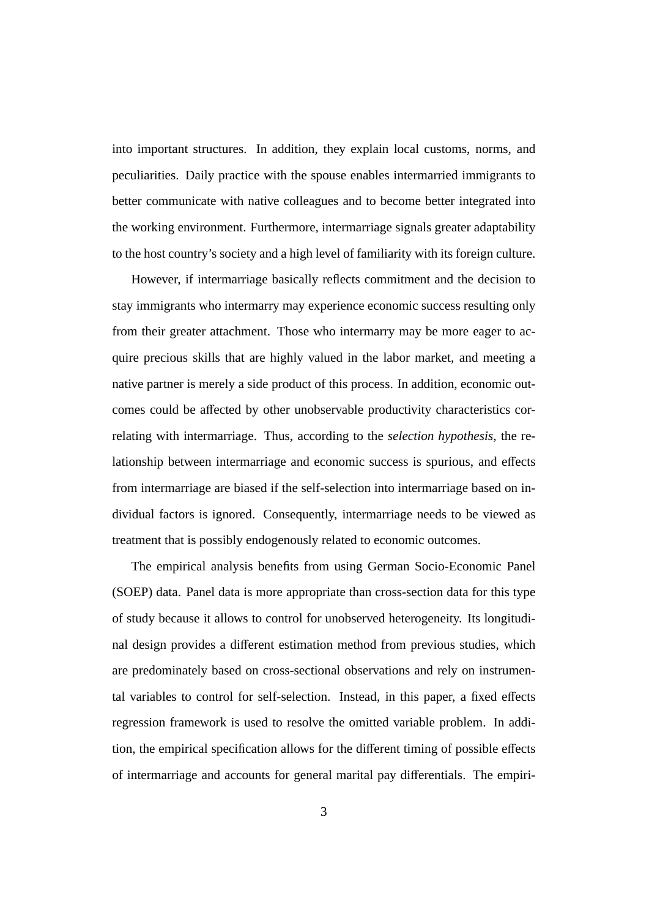into important structures. In addition, they explain local customs, norms, and peculiarities. Daily practice with the spouse enables intermarried immigrants to better communicate with native colleagues and to become better integrated into the working environment. Furthermore, intermarriage signals greater adaptability to the host country's society and a high level of familiarity with its foreign culture.

However, if intermarriage basically reflects commitment and the decision to stay immigrants who intermarry may experience economic success resulting only from their greater attachment. Those who intermarry may be more eager to acquire precious skills that are highly valued in the labor market, and meeting a native partner is merely a side product of this process. In addition, economic outcomes could be affected by other unobservable productivity characteristics correlating with intermarriage. Thus, according to the *selection hypothesis*, the relationship between intermarriage and economic success is spurious, and effects from intermarriage are biased if the self-selection into intermarriage based on individual factors is ignored. Consequently, intermarriage needs to be viewed as treatment that is possibly endogenously related to economic outcomes.

The empirical analysis benefits from using German Socio-Economic Panel (SOEP) data. Panel data is more appropriate than cross-section data for this type of study because it allows to control for unobserved heterogeneity. Its longitudinal design provides a different estimation method from previous studies, which are predominately based on cross-sectional observations and rely on instrumental variables to control for self-selection. Instead, in this paper, a fixed effects regression framework is used to resolve the omitted variable problem. In addition, the empirical specification allows for the different timing of possible effects of intermarriage and accounts for general marital pay differentials. The empiri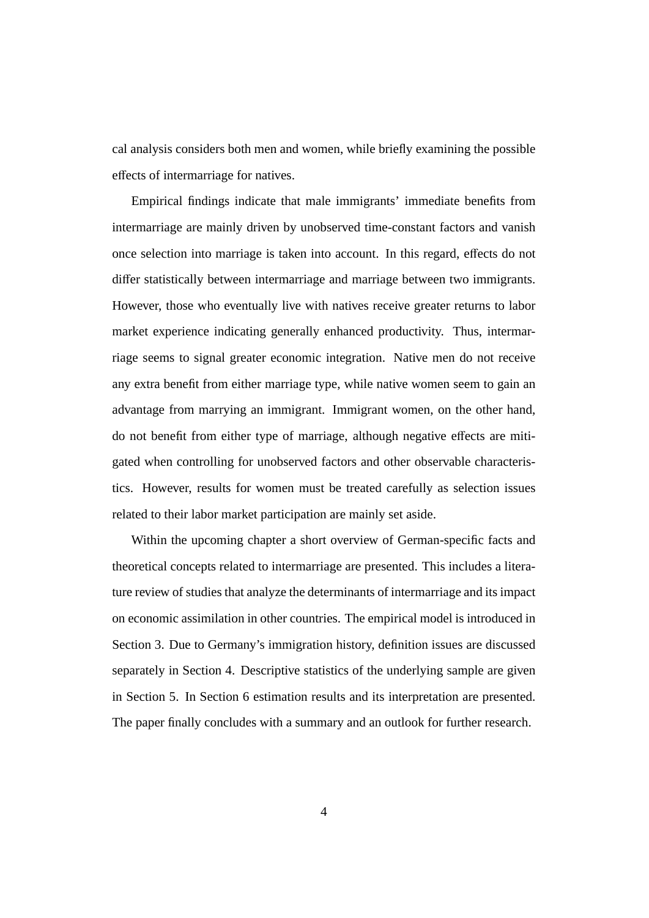cal analysis considers both men and women, while briefly examining the possible effects of intermarriage for natives.

Empirical findings indicate that male immigrants' immediate benefits from intermarriage are mainly driven by unobserved time-constant factors and vanish once selection into marriage is taken into account. In this regard, effects do not differ statistically between intermarriage and marriage between two immigrants. However, those who eventually live with natives receive greater returns to labor market experience indicating generally enhanced productivity. Thus, intermarriage seems to signal greater economic integration. Native men do not receive any extra benefit from either marriage type, while native women seem to gain an advantage from marrying an immigrant. Immigrant women, on the other hand, do not benefit from either type of marriage, although negative effects are mitigated when controlling for unobserved factors and other observable characteristics. However, results for women must be treated carefully as selection issues related to their labor market participation are mainly set aside.

Within the upcoming chapter a short overview of German-specific facts and theoretical concepts related to intermarriage are presented. This includes a literature review of studies that analyze the determinants of intermarriage and its impact on economic assimilation in other countries. The empirical model is introduced in Section 3. Due to Germany's immigration history, definition issues are discussed separately in Section 4. Descriptive statistics of the underlying sample are given in Section 5. In Section 6 estimation results and its interpretation are presented. The paper finally concludes with a summary and an outlook for further research.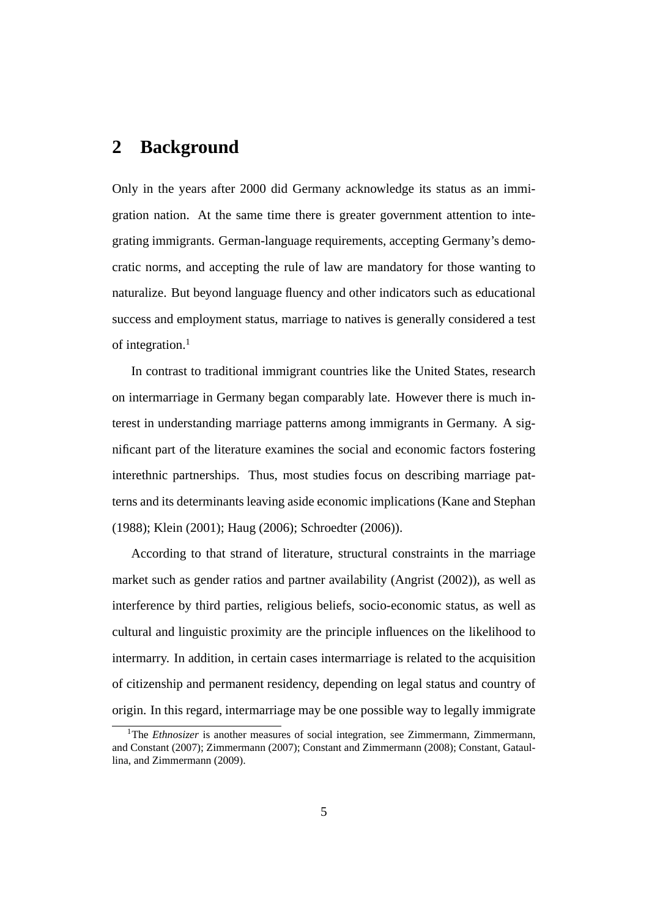#### **2 Background**

Only in the years after 2000 did Germany acknowledge its status as an immigration nation. At the same time there is greater government attention to integrating immigrants. German-language requirements, accepting Germany's democratic norms, and accepting the rule of law are mandatory for those wanting to naturalize. But beyond language fluency and other indicators such as educational success and employment status, marriage to natives is generally considered a test of integration. $<sup>1</sup>$ </sup>

In contrast to traditional immigrant countries like the United States, research on intermarriage in Germany began comparably late. However there is much interest in understanding marriage patterns among immigrants in Germany. A significant part of the literature examines the social and economic factors fostering interethnic partnerships. Thus, most studies focus on describing marriage patterns and its determinants leaving aside economic implications (Kane and Stephan (1988); Klein (2001); Haug (2006); Schroedter (2006)).

According to that strand of literature, structural constraints in the marriage market such as gender ratios and partner availability (Angrist (2002)), as well as interference by third parties, religious beliefs, socio-economic status, as well as cultural and linguistic proximity are the principle influences on the likelihood to intermarry. In addition, in certain cases intermarriage is related to the acquisition of citizenship and permanent residency, depending on legal status and country of origin. In this regard, intermarriage may be one possible way to legally immigrate

<sup>&</sup>lt;sup>1</sup>The *Ethnosizer* is another measures of social integration, see Zimmermann, Zimmermann, and Constant (2007); Zimmermann (2007); Constant and Zimmermann (2008); Constant, Gataullina, and Zimmermann (2009).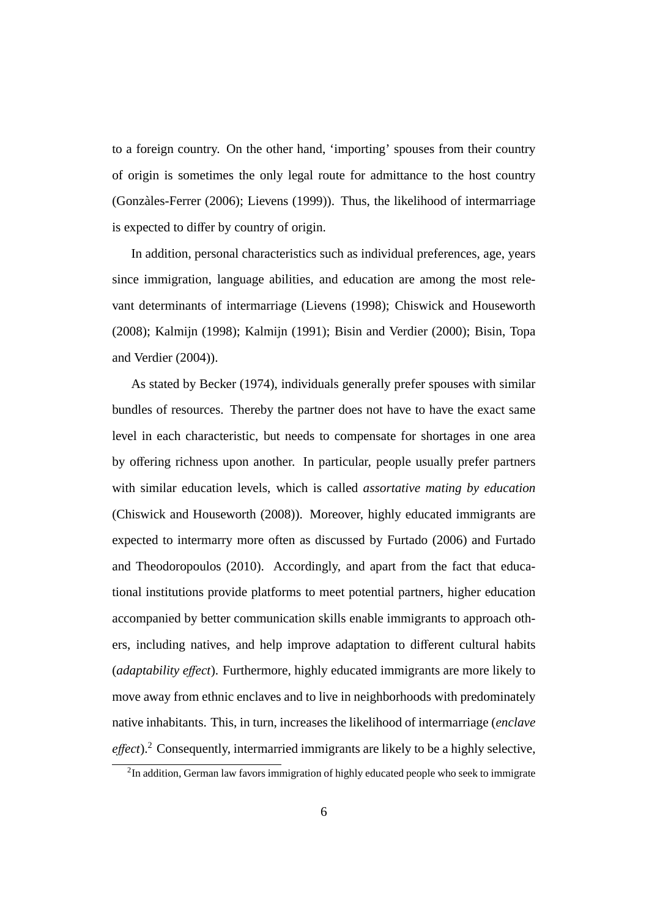to a foreign country. On the other hand, 'importing' spouses from their country of origin is sometimes the only legal route for admittance to the host country (Gonzales-Ferrer (2006); Lievens (1999)). Thus, the likelihood of intermarriage ` is expected to differ by country of origin.

In addition, personal characteristics such as individual preferences, age, years since immigration, language abilities, and education are among the most relevant determinants of intermarriage (Lievens (1998); Chiswick and Houseworth (2008); Kalmijn (1998); Kalmijn (1991); Bisin and Verdier (2000); Bisin, Topa and Verdier (2004)).

As stated by Becker (1974), individuals generally prefer spouses with similar bundles of resources. Thereby the partner does not have to have the exact same level in each characteristic, but needs to compensate for shortages in one area by offering richness upon another. In particular, people usually prefer partners with similar education levels, which is called *assortative mating by education* (Chiswick and Houseworth (2008)). Moreover, highly educated immigrants are expected to intermarry more often as discussed by Furtado (2006) and Furtado and Theodoropoulos (2010). Accordingly, and apart from the fact that educational institutions provide platforms to meet potential partners, higher education accompanied by better communication skills enable immigrants to approach others, including natives, and help improve adaptation to different cultural habits (*adaptability e*ff*ect*). Furthermore, highly educated immigrants are more likely to move away from ethnic enclaves and to live in neighborhoods with predominately native inhabitants. This, in turn, increases the likelihood of intermarriage (*enclave effect*).<sup>2</sup> Consequently, intermarried immigrants are likely to be a highly selective,

 $2$ In addition, German law favors immigration of highly educated people who seek to immigrate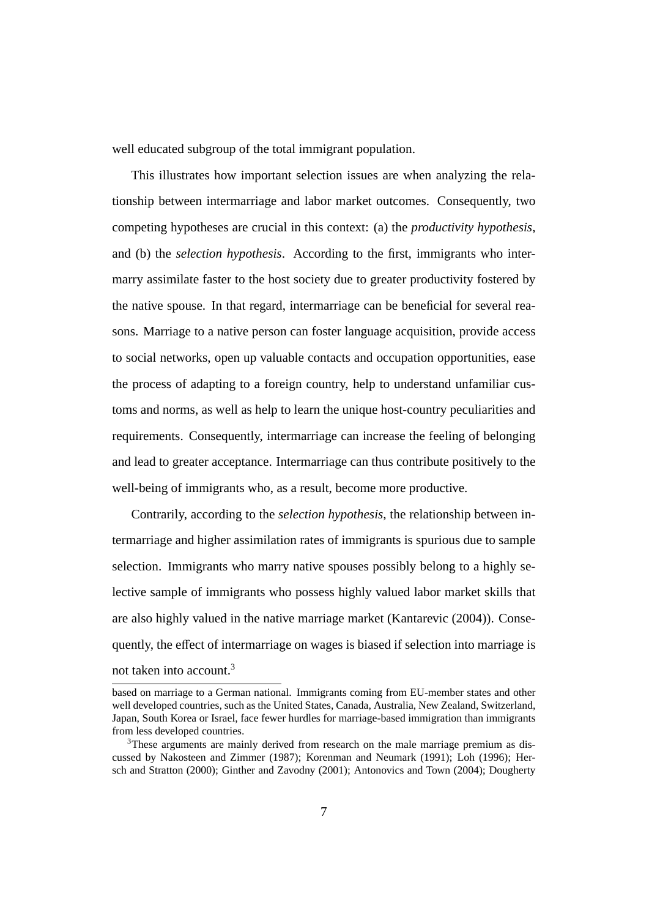well educated subgroup of the total immigrant population.

This illustrates how important selection issues are when analyzing the relationship between intermarriage and labor market outcomes. Consequently, two competing hypotheses are crucial in this context: (a) the *productivity hypothesis*, and (b) the *selection hypothesis*. According to the first, immigrants who intermarry assimilate faster to the host society due to greater productivity fostered by the native spouse. In that regard, intermarriage can be beneficial for several reasons. Marriage to a native person can foster language acquisition, provide access to social networks, open up valuable contacts and occupation opportunities, ease the process of adapting to a foreign country, help to understand unfamiliar customs and norms, as well as help to learn the unique host-country peculiarities and requirements. Consequently, intermarriage can increase the feeling of belonging and lead to greater acceptance. Intermarriage can thus contribute positively to the well-being of immigrants who, as a result, become more productive.

Contrarily, according to the *selection hypothesis*, the relationship between intermarriage and higher assimilation rates of immigrants is spurious due to sample selection. Immigrants who marry native spouses possibly belong to a highly selective sample of immigrants who possess highly valued labor market skills that are also highly valued in the native marriage market (Kantarevic (2004)). Consequently, the effect of intermarriage on wages is biased if selection into marriage is not taken into account.<sup>3</sup>

based on marriage to a German national. Immigrants coming from EU-member states and other well developed countries, such as the United States, Canada, Australia, New Zealand, Switzerland, Japan, South Korea or Israel, face fewer hurdles for marriage-based immigration than immigrants from less developed countries.

<sup>&</sup>lt;sup>3</sup>These arguments are mainly derived from research on the male marriage premium as discussed by Nakosteen and Zimmer (1987); Korenman and Neumark (1991); Loh (1996); Hersch and Stratton (2000); Ginther and Zavodny (2001); Antonovics and Town (2004); Dougherty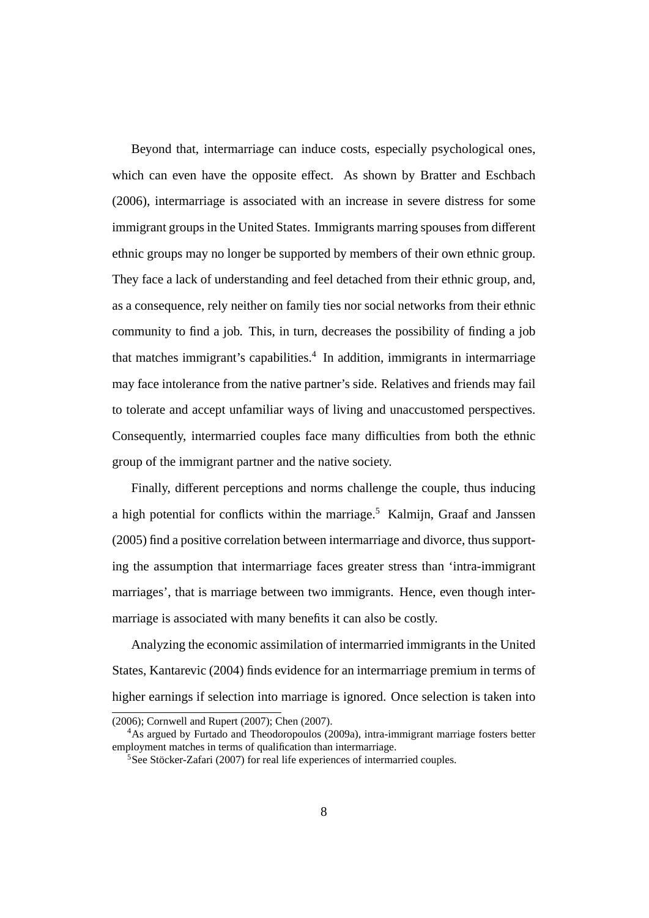Beyond that, intermarriage can induce costs, especially psychological ones, which can even have the opposite effect. As shown by Bratter and Eschbach (2006), intermarriage is associated with an increase in severe distress for some immigrant groups in the United States. Immigrants marring spouses from different ethnic groups may no longer be supported by members of their own ethnic group. They face a lack of understanding and feel detached from their ethnic group, and, as a consequence, rely neither on family ties nor social networks from their ethnic community to find a job. This, in turn, decreases the possibility of finding a job that matches immigrant's capabilities.<sup>4</sup> In addition, immigrants in intermarriage may face intolerance from the native partner's side. Relatives and friends may fail to tolerate and accept unfamiliar ways of living and unaccustomed perspectives. Consequently, intermarried couples face many difficulties from both the ethnic group of the immigrant partner and the native society.

Finally, different perceptions and norms challenge the couple, thus inducing a high potential for conflicts within the marriage.<sup>5</sup> Kalmijn, Graaf and Janssen (2005) find a positive correlation between intermarriage and divorce, thus supporting the assumption that intermarriage faces greater stress than 'intra-immigrant marriages', that is marriage between two immigrants. Hence, even though intermarriage is associated with many benefits it can also be costly.

Analyzing the economic assimilation of intermarried immigrants in the United States, Kantarevic (2004) finds evidence for an intermarriage premium in terms of higher earnings if selection into marriage is ignored. Once selection is taken into

<sup>(2006);</sup> Cornwell and Rupert (2007); Chen (2007).

<sup>&</sup>lt;sup>4</sup>As argued by Furtado and Theodoropoulos (2009a), intra-immigrant marriage fosters better employment matches in terms of qualification than intermarriage.

 $5$ See Stöcker-Zafari (2007) for real life experiences of intermarried couples.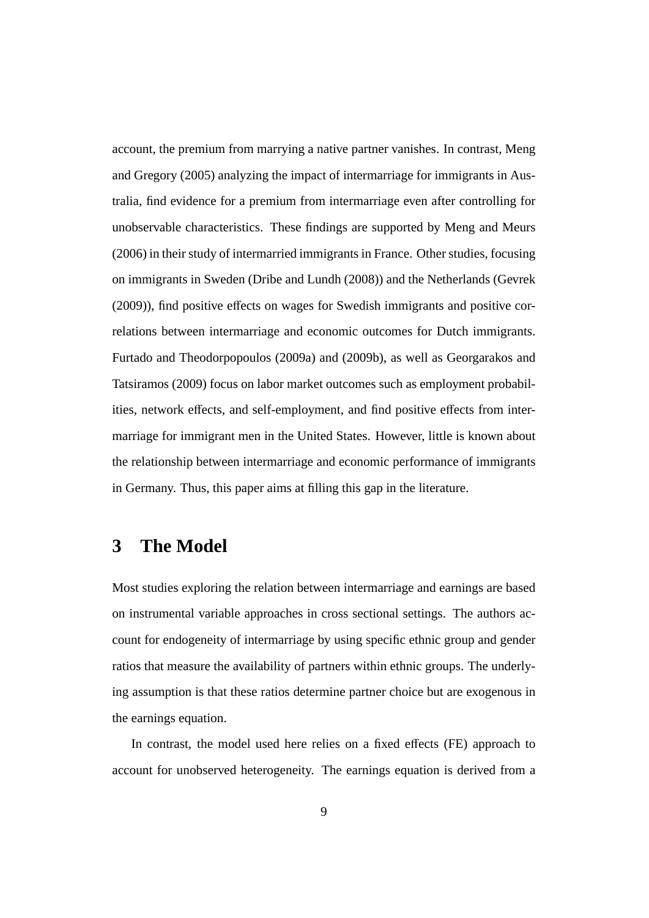account, the premium from marrying a native partner vanishes. In contrast, Meng and Gregory (2005) analyzing the impact of intermarriage for immigrants in Australia, find evidence for a premium from intermarriage even after controlling for unobservable characteristics. These findings are supported by Meng and Meurs (2006) in their study of intermarried immigrants in France. Other studies, focusing on immigrants in Sweden (Dribe and Lundh (2008)) and the Netherlands (Gevrek (2009)), find positive effects on wages for Swedish immigrants and positive correlations between intermarriage and economic outcomes for Dutch immigrants. Furtado and Theodorpopoulos (2009a) and (2009b), as well as Georgarakos and Tatsiramos (2009) focus on labor market outcomes such as employment probabilities, network effects, and self-employment, and find positive effects from intermarriage for immigrant men in the United States. However, little is known about the relationship between intermarriage and economic performance of immigrants in Germany. Thus, this paper aims at filling this gap in the literature.

## **3 The Model**

Most studies exploring the relation between intermarriage and earnings are based on instrumental variable approaches in cross sectional settings. The authors account for endogeneity of intermarriage by using specific ethnic group and gender ratios that measure the availability of partners within ethnic groups. The underlying assumption is that these ratios determine partner choice but are exogenous in the earnings equation.

In contrast, the model used here relies on a fixed effects (FE) approach to account for unobserved heterogeneity. The earnings equation is derived from a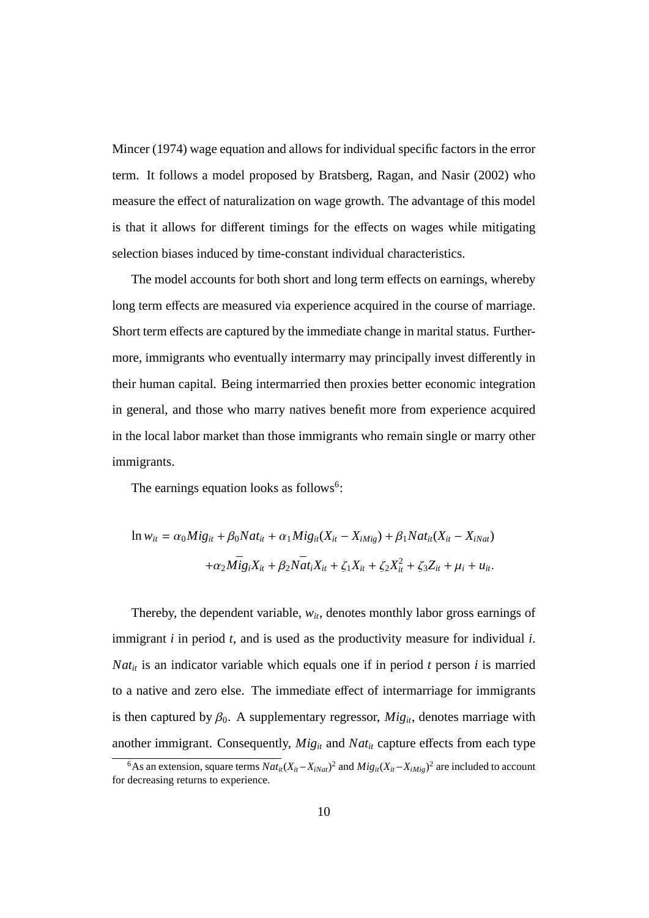Mincer (1974) wage equation and allows for individual specific factors in the error term. It follows a model proposed by Bratsberg, Ragan, and Nasir (2002) who measure the effect of naturalization on wage growth. The advantage of this model is that it allows for different timings for the effects on wages while mitigating selection biases induced by time-constant individual characteristics.

The model accounts for both short and long term effects on earnings, whereby long term effects are measured via experience acquired in the course of marriage. Short term effects are captured by the immediate change in marital status. Furthermore, immigrants who eventually intermarry may principally invest differently in their human capital. Being intermarried then proxies better economic integration in general, and those who marry natives benefit more from experience acquired in the local labor market than those immigrants who remain single or marry other immigrants.

The earnings equation looks as follows<sup>6</sup>:

$$
\ln w_{it} = \alpha_0 M i g_{it} + \beta_0 N a t_{it} + \alpha_1 M i g_{it} (X_{it} - X_{iMig}) + \beta_1 N a t_{it} (X_{it} - X_{iNat})
$$

$$
+ \alpha_2 M i g_i X_{it} + \beta_2 N a t_i X_{it} + \zeta_1 X_{it} + \zeta_2 X_{it}^2 + \zeta_3 Z_{it} + \mu_i + u_{it}.
$$

Thereby, the dependent variable,  $w_{it}$ , denotes monthly labor gross earnings of immigrant *i* in period *t*, and is used as the productivity measure for individual *i*.  $Nat<sub>it</sub>$  is an indicator variable which equals one if in period *t* person *i* is married to a native and zero else. The immediate effect of intermarriage for immigrants is then captured by  $\beta_0$ . A supplementary regressor,  $Mig_{it}$ , denotes marriage with another immigrant. Consequently,  $Mig_{it}$  and  $Nat_{it}$  capture effects from each type

<sup>&</sup>lt;sup>6</sup>As an extension, square terms  $Nat_{it}(X_{it} - X_{iNat})^2$  and  $Mig_{it}(X_{it} - X_{iMig})^2$  are included to account for decreasing returns to experience.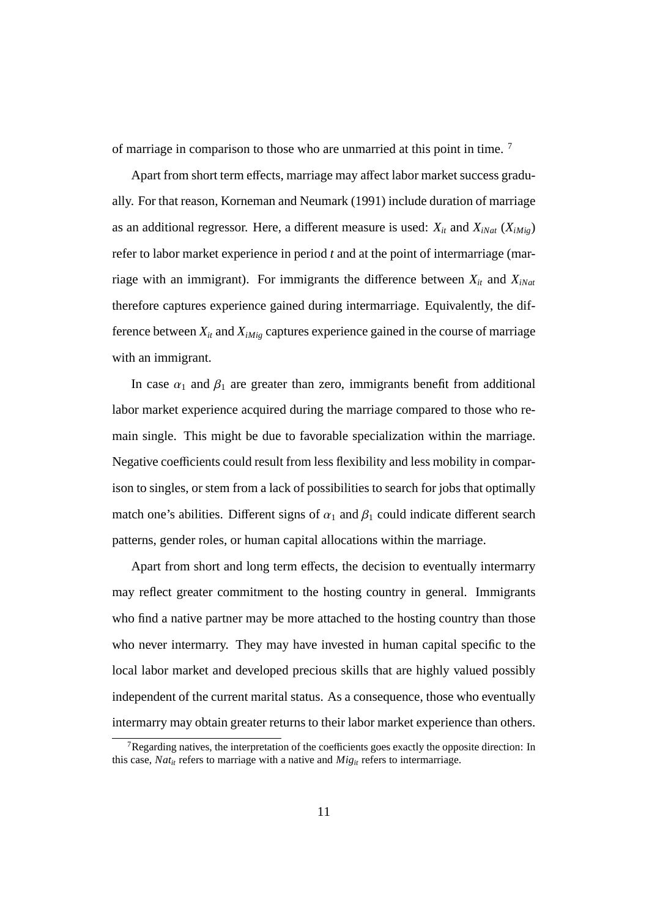of marriage in comparison to those who are unmarried at this point in time. <sup>7</sup>

Apart from short term effects, marriage may affect labor market success gradually. For that reason, Korneman and Neumark (1991) include duration of marriage as an additional regressor. Here, a different measure is used:  $X_{it}$  and  $X_{iNat}$  ( $X_{iMiq}$ ) refer to labor market experience in period *t* and at the point of intermarriage (marriage with an immigrant). For immigrants the difference between  $X_{it}$  and  $X_{iNat}$ therefore captures experience gained during intermarriage. Equivalently, the difference between  $X_{it}$  and  $X_{iMig}$  captures experience gained in the course of marriage with an immigrant.

In case  $\alpha_1$  and  $\beta_1$  are greater than zero, immigrants benefit from additional labor market experience acquired during the marriage compared to those who remain single. This might be due to favorable specialization within the marriage. Negative coefficients could result from less flexibility and less mobility in comparison to singles, or stem from a lack of possibilities to search for jobs that optimally match one's abilities. Different signs of  $\alpha_1$  and  $\beta_1$  could indicate different search patterns, gender roles, or human capital allocations within the marriage.

Apart from short and long term effects, the decision to eventually intermarry may reflect greater commitment to the hosting country in general. Immigrants who find a native partner may be more attached to the hosting country than those who never intermarry. They may have invested in human capital specific to the local labor market and developed precious skills that are highly valued possibly independent of the current marital status. As a consequence, those who eventually intermarry may obtain greater returns to their labor market experience than others.

<sup>&</sup>lt;sup>7</sup>Regarding natives, the interpretation of the coefficients goes exactly the opposite direction: In this case,  $Nat<sub>it</sub>$  refers to marriage with a native and  $Mig<sub>it</sub>$  refers to intermarriage.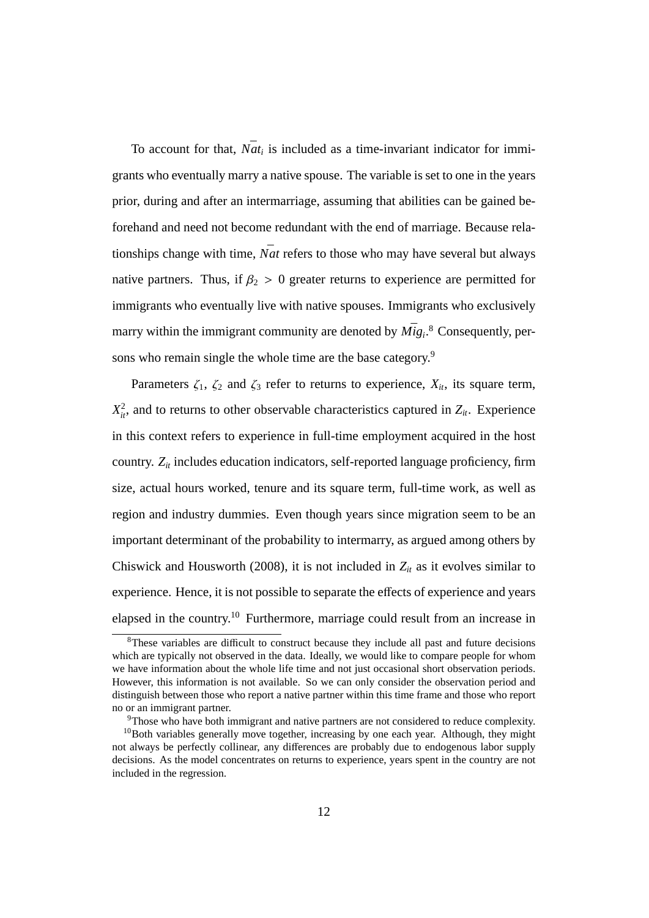To account for that,  $N\bar{a}t_i$  is included as a time-invariant indicator for immigrants who eventually marry a native spouse. The variable is set to one in the years prior, during and after an intermarriage, assuming that abilities can be gained beforehand and need not become redundant with the end of marriage. Because relationships change with time,  $\bar{Nat}$  refers to those who may have several but always native partners. Thus, if  $\beta_2 > 0$  greater returns to experience are permitted for immigrants who eventually live with native spouses. Immigrants who exclusively marry within the immigrant community are denoted by  $\overline{Mig_i}$ .<sup>8</sup> Consequently, persons who remain single the whole time are the base category.<sup>9</sup>

Parameters  $\zeta_1$ ,  $\zeta_2$  and  $\zeta_3$  refer to returns to experience,  $X_{it}$ , its square term,  $X_{ii}^2$ , and to returns to other observable characteristics captured in  $Z_{ii}$ . Experience in this context refers to experience in full-time employment acquired in the host country. *Zit* includes education indicators, self-reported language proficiency, firm size, actual hours worked, tenure and its square term, full-time work, as well as region and industry dummies. Even though years since migration seem to be an important determinant of the probability to intermarry, as argued among others by Chiswick and Housworth (2008), it is not included in  $Z_{it}$  as it evolves similar to experience. Hence, it is not possible to separate the effects of experience and years elapsed in the country.<sup>10</sup> Furthermore, marriage could result from an increase in

 $8$ These variables are difficult to construct because they include all past and future decisions which are typically not observed in the data. Ideally, we would like to compare people for whom we have information about the whole life time and not just occasional short observation periods. However, this information is not available. So we can only consider the observation period and distinguish between those who report a native partner within this time frame and those who report no or an immigrant partner.

<sup>&</sup>lt;sup>9</sup>Those who have both immigrant and native partners are not considered to reduce complexity.

 $10$ Both variables generally move together, increasing by one each year. Although, they might not always be perfectly collinear, any differences are probably due to endogenous labor supply decisions. As the model concentrates on returns to experience, years spent in the country are not included in the regression.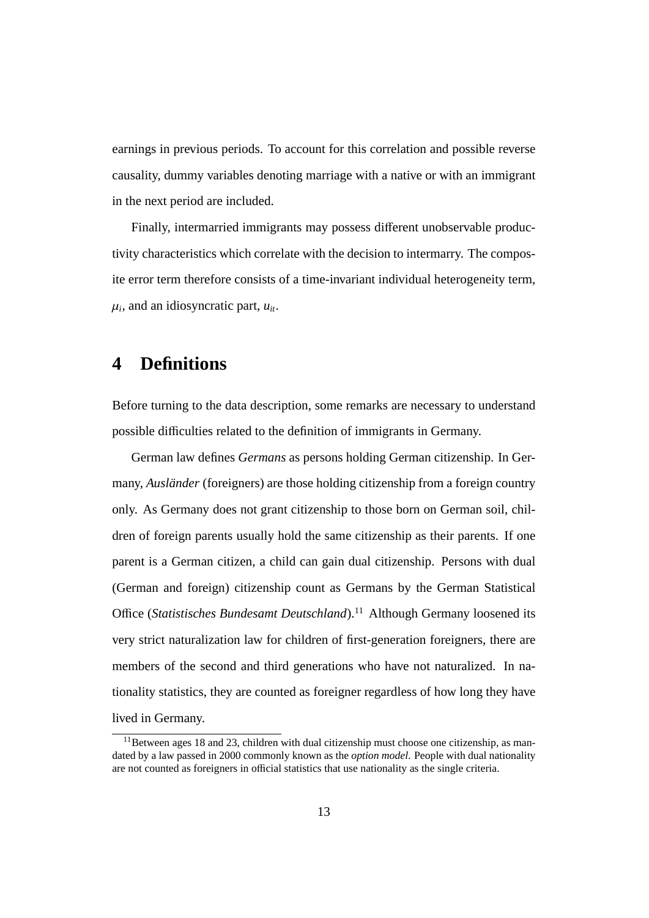earnings in previous periods. To account for this correlation and possible reverse causality, dummy variables denoting marriage with a native or with an immigrant in the next period are included.

Finally, intermarried immigrants may possess different unobservable productivity characteristics which correlate with the decision to intermarry. The composite error term therefore consists of a time-invariant individual heterogeneity term,  $\mu_i$ , and an idiosyncratic part,  $u_{it}$ .

#### **4 Definitions**

Before turning to the data description, some remarks are necessary to understand possible difficulties related to the definition of immigrants in Germany.

German law defines *Germans* as persons holding German citizenship. In Germany, *Ausländer* (foreigners) are those holding citizenship from a foreign country only. As Germany does not grant citizenship to those born on German soil, children of foreign parents usually hold the same citizenship as their parents. If one parent is a German citizen, a child can gain dual citizenship. Persons with dual (German and foreign) citizenship count as Germans by the German Statistical Office (*Statistisches Bundesamt Deutschland*).<sup>11</sup> Although Germany loosened its very strict naturalization law for children of first-generation foreigners, there are members of the second and third generations who have not naturalized. In nationality statistics, they are counted as foreigner regardless of how long they have lived in Germany.

<sup>&</sup>lt;sup>11</sup>Between ages 18 and 23, children with dual citizenship must choose one citizenship, as mandated by a law passed in 2000 commonly known as the *option model*. People with dual nationality are not counted as foreigners in official statistics that use nationality as the single criteria.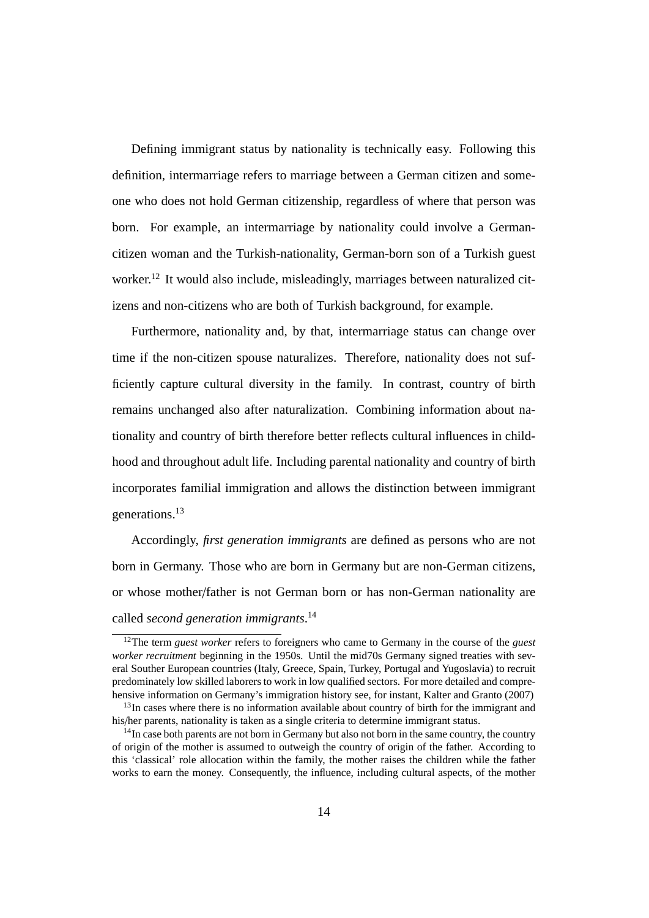Defining immigrant status by nationality is technically easy. Following this definition, intermarriage refers to marriage between a German citizen and someone who does not hold German citizenship, regardless of where that person was born. For example, an intermarriage by nationality could involve a Germancitizen woman and the Turkish-nationality, German-born son of a Turkish guest worker.<sup>12</sup> It would also include, misleadingly, marriages between naturalized citizens and non-citizens who are both of Turkish background, for example.

Furthermore, nationality and, by that, intermarriage status can change over time if the non-citizen spouse naturalizes. Therefore, nationality does not sufficiently capture cultural diversity in the family. In contrast, country of birth remains unchanged also after naturalization. Combining information about nationality and country of birth therefore better reflects cultural influences in childhood and throughout adult life. Including parental nationality and country of birth incorporates familial immigration and allows the distinction between immigrant generations.<sup>13</sup>

Accordingly, *first generation immigrants* are defined as persons who are not born in Germany. Those who are born in Germany but are non-German citizens, or whose mother/father is not German born or has non-German nationality are called *second generation immigrants*. 14

<sup>12</sup>The term *guest worker* refers to foreigners who came to Germany in the course of the *guest worker recruitment* beginning in the 1950s. Until the mid70s Germany signed treaties with several Souther European countries (Italy, Greece, Spain, Turkey, Portugal and Yugoslavia) to recruit predominately low skilled laborers to work in low qualified sectors. For more detailed and comprehensive information on Germany's immigration history see, for instant, Kalter and Granto (2007)

 $13$ In cases where there is no information available about country of birth for the immigrant and his/her parents, nationality is taken as a single criteria to determine immigrant status.

<sup>&</sup>lt;sup>14</sup>In case both parents are not born in Germany but also not born in the same country, the country of origin of the mother is assumed to outweigh the country of origin of the father. According to this 'classical' role allocation within the family, the mother raises the children while the father works to earn the money. Consequently, the influence, including cultural aspects, of the mother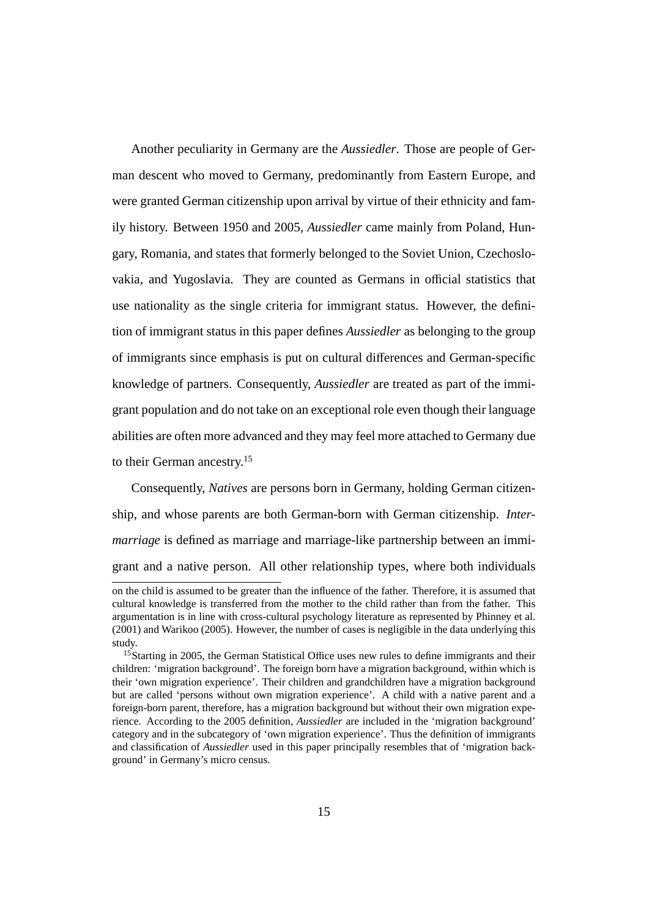Another peculiarity in Germany are the *Aussiedler*. Those are people of German descent who moved to Germany, predominantly from Eastern Europe, and were granted German citizenship upon arrival by virtue of their ethnicity and family history. Between 1950 and 2005, *Aussiedler* came mainly from Poland, Hungary, Romania, and states that formerly belonged to the Soviet Union, Czechoslovakia, and Yugoslavia. They are counted as Germans in official statistics that use nationality as the single criteria for immigrant status. However, the definition of immigrant status in this paper defines *Aussiedler* as belonging to the group of immigrants since emphasis is put on cultural differences and German-specific knowledge of partners. Consequently, *Aussiedler* are treated as part of the immigrant population and do not take on an exceptional role even though their language abilities are often more advanced and they may feel more attached to Germany due to their German ancestry.<sup>15</sup>

Consequently, *Natives* are persons born in Germany, holding German citizenship, and whose parents are both German-born with German citizenship. *Intermarriage* is defined as marriage and marriage-like partnership between an immigrant and a native person. All other relationship types, where both individuals

on the child is assumed to be greater than the influence of the father. Therefore, it is assumed that cultural knowledge is transferred from the mother to the child rather than from the father. This argumentation is in line with cross-cultural psychology literature as represented by Phinney et al. (2001) and Warikoo (2005). However, the number of cases is negligible in the data underlying this study.

<sup>&</sup>lt;sup>15</sup>Starting in 2005, the German Statistical Office uses new rules to define immigrants and their children: 'migration background'. The foreign born have a migration background, within which is their 'own migration experience'. Their children and grandchildren have a migration background but are called 'persons without own migration experience'. A child with a native parent and a foreign-born parent, therefore, has a migration background but without their own migration experience. According to the 2005 definition, *Aussiedler* are included in the 'migration background' category and in the subcategory of 'own migration experience'. Thus the definition of immigrants and classification of *Aussiedler* used in this paper principally resembles that of 'migration background' in Germany's micro census.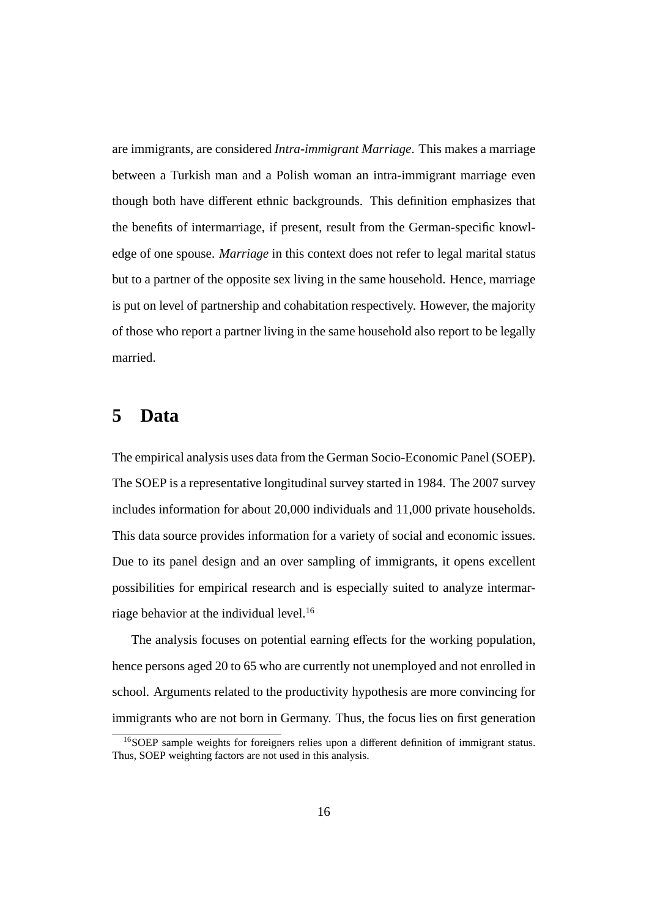are immigrants, are considered *Intra-immigrant Marriage*. This makes a marriage between a Turkish man and a Polish woman an intra-immigrant marriage even though both have different ethnic backgrounds. This definition emphasizes that the benefits of intermarriage, if present, result from the German-specific knowledge of one spouse. *Marriage* in this context does not refer to legal marital status but to a partner of the opposite sex living in the same household. Hence, marriage is put on level of partnership and cohabitation respectively. However, the majority of those who report a partner living in the same household also report to be legally married.

#### **5 Data**

The empirical analysis uses data from the German Socio-Economic Panel (SOEP). The SOEP is a representative longitudinal survey started in 1984. The 2007 survey includes information for about 20,000 individuals and 11,000 private households. This data source provides information for a variety of social and economic issues. Due to its panel design and an over sampling of immigrants, it opens excellent possibilities for empirical research and is especially suited to analyze intermarriage behavior at the individual level.<sup>16</sup>

The analysis focuses on potential earning effects for the working population, hence persons aged 20 to 65 who are currently not unemployed and not enrolled in school. Arguments related to the productivity hypothesis are more convincing for immigrants who are not born in Germany. Thus, the focus lies on first generation

<sup>16</sup>SOEP sample weights for foreigners relies upon a different definition of immigrant status. Thus, SOEP weighting factors are not used in this analysis.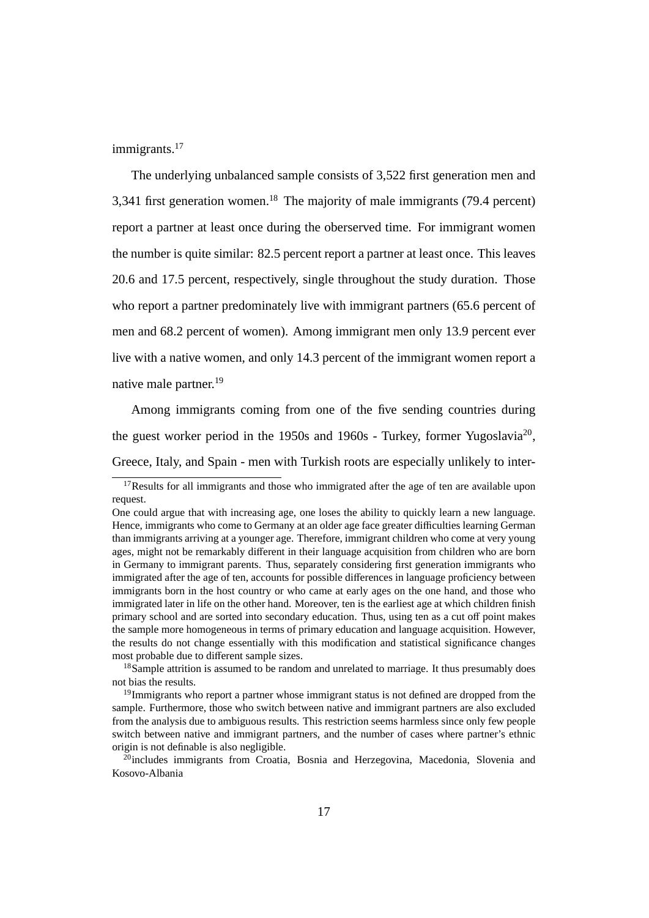immigrants.<sup>17</sup>

The underlying unbalanced sample consists of 3,522 first generation men and 3,341 first generation women.<sup>18</sup> The majority of male immigrants (79.4 percent) report a partner at least once during the oberserved time. For immigrant women the number is quite similar: 82.5 percent report a partner at least once. This leaves 20.6 and 17.5 percent, respectively, single throughout the study duration. Those who report a partner predominately live with immigrant partners (65.6 percent of men and 68.2 percent of women). Among immigrant men only 13.9 percent ever live with a native women, and only 14.3 percent of the immigrant women report a native male partner.<sup>19</sup>

Among immigrants coming from one of the five sending countries during the guest worker period in the 1950s and 1960s - Turkey, former Yugoslavia<sup>20</sup>, Greece, Italy, and Spain - men with Turkish roots are especially unlikely to inter-

 $17$ Results for all immigrants and those who immigrated after the age of ten are available upon request.

One could argue that with increasing age, one loses the ability to quickly learn a new language. Hence, immigrants who come to Germany at an older age face greater difficulties learning German than immigrants arriving at a younger age. Therefore, immigrant children who come at very young ages, might not be remarkably different in their language acquisition from children who are born in Germany to immigrant parents. Thus, separately considering first generation immigrants who immigrated after the age of ten, accounts for possible differences in language proficiency between immigrants born in the host country or who came at early ages on the one hand, and those who immigrated later in life on the other hand. Moreover, ten is the earliest age at which children finish primary school and are sorted into secondary education. Thus, using ten as a cut off point makes the sample more homogeneous in terms of primary education and language acquisition. However, the results do not change essentially with this modification and statistical significance changes most probable due to different sample sizes.

<sup>&</sup>lt;sup>18</sup>Sample attrition is assumed to be random and unrelated to marriage. It thus presumably does not bias the results.

<sup>&</sup>lt;sup>19</sup>Immigrants who report a partner whose immigrant status is not defined are dropped from the sample. Furthermore, those who switch between native and immigrant partners are also excluded from the analysis due to ambiguous results. This restriction seems harmless since only few people switch between native and immigrant partners, and the number of cases where partner's ethnic origin is not definable is also negligible.

 $\frac{\bar{z}_0}{\bar{z}_1}$  includes immigrants from Croatia. Bosnia and Herzegovina, Macedonia, Slovenia and Kosovo-Albania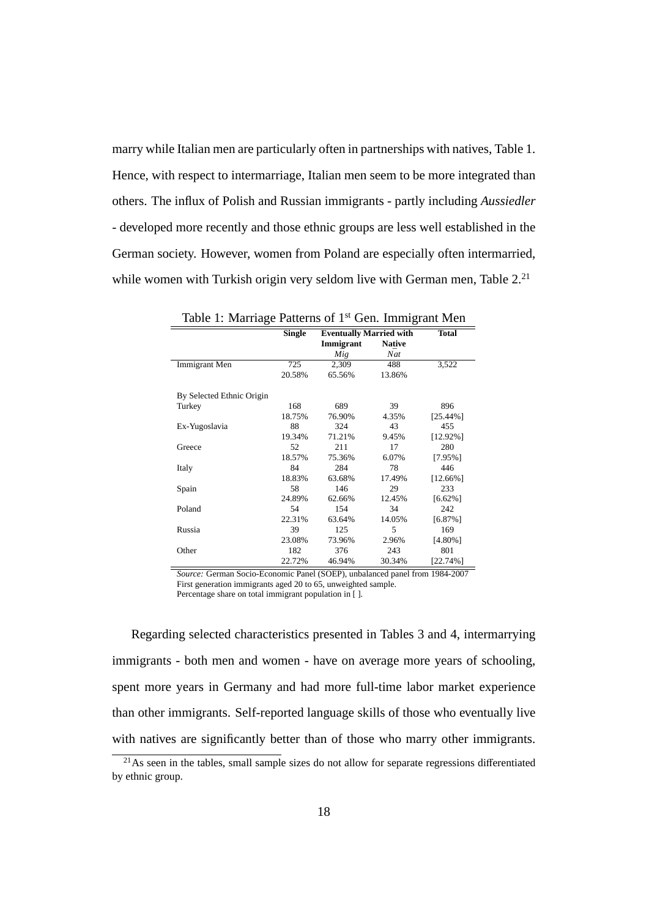marry while Italian men are particularly often in partnerships with natives, Table 1. Hence, with respect to intermarriage, Italian men seem to be more integrated than others. The influx of Polish and Russian immigrants - partly including *Aussiedler* - developed more recently and those ethnic groups are less well established in the German society. However, women from Poland are especially often intermarried, while women with Turkish origin very seldom live with German men, Table  $2<sup>21</sup>$ 

| Table 1: Marriage Patterns of 1 <sup>st</sup> Gen. Immigrant Men |               |                                |                      |              |  |  |  |
|------------------------------------------------------------------|---------------|--------------------------------|----------------------|--------------|--|--|--|
|                                                                  | <b>Single</b> | <b>Eventually Married with</b> |                      | <b>Total</b> |  |  |  |
|                                                                  |               | Immigrant<br>$\bar{Mig}$       | <b>Native</b><br>Nat |              |  |  |  |
| Immigrant Men                                                    | 725           | 2,309                          | 488                  | 3,522        |  |  |  |
|                                                                  | 20.58%        | 65.56%                         | 13.86%               |              |  |  |  |
| By Selected Ethnic Origin                                        |               |                                |                      |              |  |  |  |
| Turkey                                                           | 168           | 689                            | 39                   | 896          |  |  |  |
|                                                                  | 18.75%        | 76.90%                         | 4.35%                | $[25.44\%]$  |  |  |  |
| Ex-Yugoslavia                                                    | 88            | 324                            | 43                   | 455          |  |  |  |
|                                                                  | 19.34%        | 71.21%                         | 9.45%                | $[12.92\%]$  |  |  |  |
| Greece                                                           | 52            | 211                            | 17                   | 280          |  |  |  |
|                                                                  | 18.57%        | 75.36%                         | 6.07%                | [7.95%]      |  |  |  |
| Italy                                                            | 84            | 284                            | 78                   | 446          |  |  |  |
|                                                                  | 18.83%        | 63.68%                         | 17.49%               | $[12.66\%]$  |  |  |  |
| Spain                                                            | 58            | 146                            | 29                   | 233          |  |  |  |
|                                                                  | 24.89%        | 62.66%                         | 12.45%               | $[6.62\%]$   |  |  |  |
| Poland                                                           | 54            | 154                            | 34                   | 242          |  |  |  |
|                                                                  | 22.31%        | 63.64%                         | 14.05%               | $[6.87\%]$   |  |  |  |
| Russia                                                           | 39            | 125                            | 5                    | 169          |  |  |  |
|                                                                  | 23.08%        | 73.96%                         | 2.96%                | $[4.80\%]$   |  |  |  |
| Other                                                            | 182           | 376                            | 243                  | 801          |  |  |  |
|                                                                  | 22.72%        | 46.94%                         | 30.34%               | $[22.74\%]$  |  |  |  |

*Source:* German Socio-Economic Panel (SOEP), unbalanced panel from 1984-2007 First generation immigrants aged 20 to 65, unweighted sample.

Percentage share on total immigrant population in [ ].

Regarding selected characteristics presented in Tables 3 and 4, intermarrying immigrants - both men and women - have on average more years of schooling, spent more years in Germany and had more full-time labor market experience than other immigrants. Self-reported language skills of those who eventually live with natives are significantly better than of those who marry other immigrants.

<sup>&</sup>lt;sup>21</sup>As seen in the tables, small sample sizes do not allow for separate regressions differentiated by ethnic group.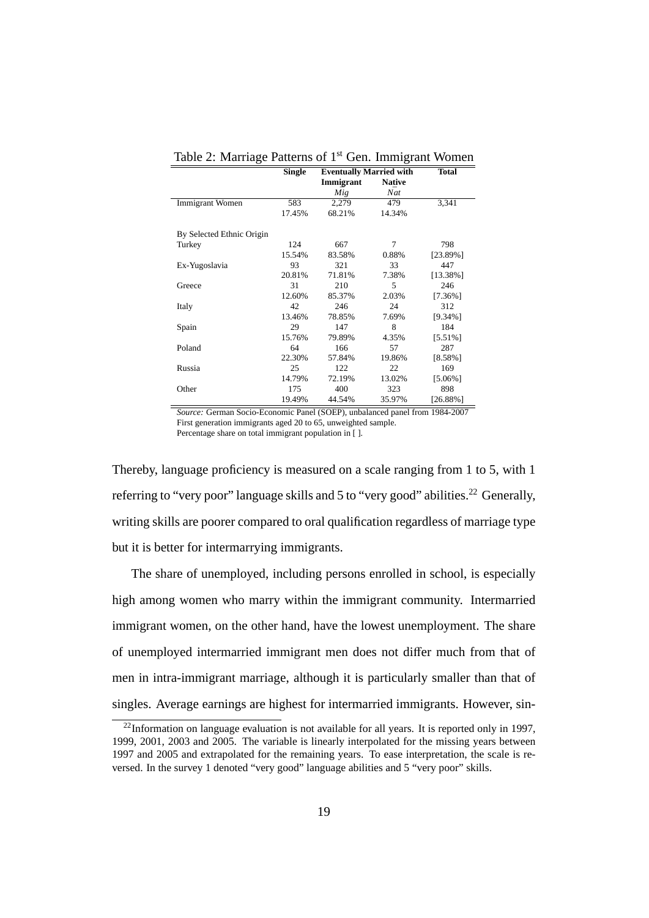|                           | Single | <b>Eventually Married with</b> |               | <b>Total</b> |  |  |  |
|---------------------------|--------|--------------------------------|---------------|--------------|--|--|--|
|                           |        | Immigrant                      | <b>Native</b> |              |  |  |  |
|                           |        | $\overline{M}$ ig              | Nat           |              |  |  |  |
| Immigrant Women           | 583    | 2,279                          | 479           | 3,341        |  |  |  |
|                           | 17.45% | 68.21%                         | 14.34%        |              |  |  |  |
| By Selected Ethnic Origin |        |                                |               |              |  |  |  |
| Turkey                    | 124    | 667                            | 7             | 798          |  |  |  |
|                           | 15.54% | 83.58%                         | 0.88%         | [23.89%]     |  |  |  |
| Ex-Yugoslavia             | 93     | 321                            | 33            | 447          |  |  |  |
|                           | 20.81% | 71.81%                         | 7.38%         | $[13.38\%]$  |  |  |  |
| Greece                    | 31     | 210                            | 5             | 246          |  |  |  |
|                           | 12.60% | 85.37%                         | 2.03%         | $[7.36\%]$   |  |  |  |
| Italy                     | 42     | 246                            | 24            | 312          |  |  |  |
|                           | 13.46% | 78.85%                         | 7.69%         | $[9.34\%]$   |  |  |  |
| Spain                     | 29     | 147                            | 8             | 184          |  |  |  |
|                           | 15.76% | 79.89%                         | 4.35%         | $[5.51\%]$   |  |  |  |
| Poland                    | 64     | 166                            | 57            | 287          |  |  |  |
|                           | 22.30% | 57.84%                         | 19.86%        | [8.58%]      |  |  |  |
| Russia                    | 25     | 122                            | 22            | 169          |  |  |  |
|                           | 14.79% | 72.19%                         | 13.02%        | $[5.06\%]$   |  |  |  |
| Other                     | 175    | 400                            | 323           | 898          |  |  |  |
|                           | 19.49% | 44.54%                         | 35.97%        | [26.88%]     |  |  |  |

Table 2: Marriage Patterns of 1<sup>st</sup> Gen. Immigrant Women

*Source:* German Socio-Economic Panel (SOEP), unbalanced panel from 1984-2007 First generation immigrants aged 20 to 65, unweighted sample. Percentage share on total immigrant population in [ ].

Thereby, language proficiency is measured on a scale ranging from 1 to 5, with 1 referring to "very poor" language skills and 5 to "very good" abilities.<sup>22</sup> Generally, writing skills are poorer compared to oral qualification regardless of marriage type but it is better for intermarrying immigrants.

The share of unemployed, including persons enrolled in school, is especially high among women who marry within the immigrant community. Intermarried immigrant women, on the other hand, have the lowest unemployment. The share of unemployed intermarried immigrant men does not differ much from that of men in intra-immigrant marriage, although it is particularly smaller than that of singles. Average earnings are highest for intermarried immigrants. However, sin-

 $22$ Information on language evaluation is not available for all years. It is reported only in 1997, 1999, 2001, 2003 and 2005. The variable is linearly interpolated for the missing years between 1997 and 2005 and extrapolated for the remaining years. To ease interpretation, the scale is reversed. In the survey 1 denoted "very good" language abilities and 5 "very poor" skills.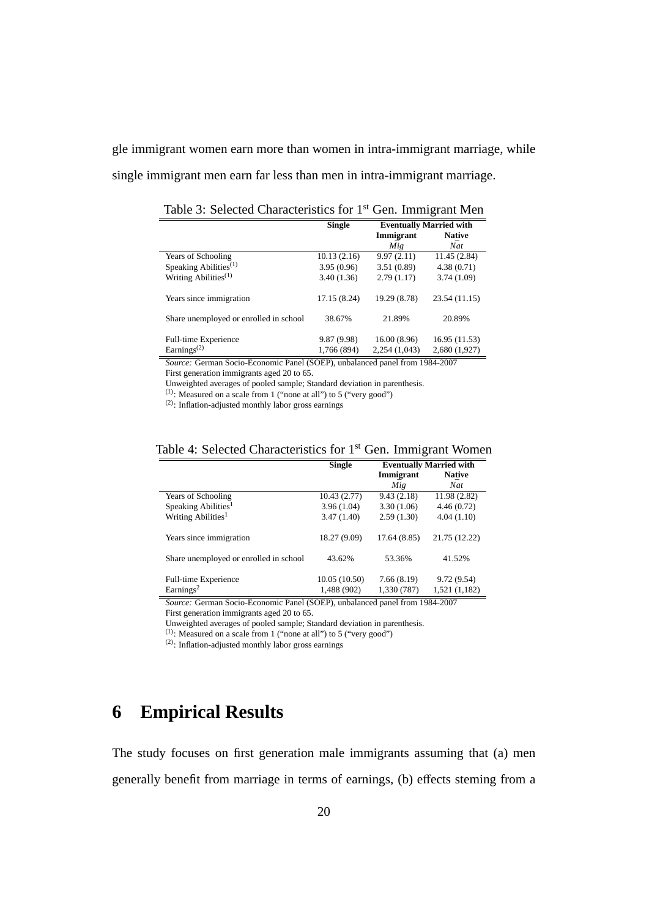gle immigrant women earn more than women in intra-immigrant marriage, while single immigrant men earn far less than men in intra-immigrant marriage.

**Single Eventually Married with<br>
Immigrant Native Immigrant Natively Natively Natively**  $\frac{\tilde{Mig}}{9.97(2.11)}$   $\frac{\tilde{Nat}}{11.45(2.84)}$ Years of Schooling 10.13 (2.16) 9.97 (2.11) 11.45 (2.84)<br>Speaking Abilities<sup>(1)</sup> 3.95 (0.96) 3.51 (0.89) 4.38 (0.71) Speaking Abilities<sup>(1)</sup> Writing Abilities<sup>(1)</sup> 3.40 (1.36) 2.79 (1.17) 3.74 (1.09) Years since immigration 17.15 (8.24) 19.29 (8.78) 23.54 (11.15) Share unemployed or enrolled in school 38.67% 21.89% 20.89% Full-time Experience 9.87 (9.98) 16.00 (8.96) 16.95 (11.53)<br>Earnings<sup>(2)</sup> 1,766 (894) 2,254 (1,043) 2,680 (1,927)  $2,254$  (1,043)

Table 3: Selected Characteristics for 1<sup>st</sup> Gen. Immigrant Men

*Source:* German Socio-Economic Panel (SOEP), unbalanced panel from 1984-2007 First generation immigrants aged 20 to 65.

Unweighted averages of pooled sample; Standard deviation in parenthesis.

(1): Measured on a scale from 1 ("none at all") to 5 ("very good")

(2): Inflation-adjusted monthly labor gross earnings

| Table 4: Selected Characteristics for 1 <sup>st</sup> Gen. Immigrant Women |  |  |  |  |
|----------------------------------------------------------------------------|--|--|--|--|
|----------------------------------------------------------------------------|--|--|--|--|

|                                           | <b>Single</b> | <b>Eventually Married with</b> |               |  |
|-------------------------------------------|---------------|--------------------------------|---------------|--|
|                                           |               | Immigrant                      | <b>Native</b> |  |
|                                           |               | Mig                            | Nat           |  |
| <b>Years of Schooling</b>                 | 10.43(2.77)   | 9.43(2.18)                     | 11.98 (2.82)  |  |
| Speaking Abilities <sup>1</sup>           | 3.96(1.04)    | 3.30(1.06)                     | 4.46(0.72)    |  |
| Writing Abilities <sup>1</sup>            | 3.47(1.40)    | 2.59(1.30)                     | 4.04(1.10)    |  |
| Years since immigration                   | 18.27 (9.09)  | 17.64 (8.85)                   | 21.75 (12.22) |  |
| Share unemployed or enrolled in school    | 43.62%        | 53.36%                         | 41.52%        |  |
| Full-time Experience                      | 10.05(10.50)  | 7.66(8.19)                     | 9.72(9.54)    |  |
| Earnings <sup>2</sup>                     | 1,488 (902)   | 1,330 (787)                    | 1,521 (1,182) |  |
| . .<br>$\sim$<br>$\overline{\phantom{0}}$ | .<br>1/0.07   | $\sim$                         | 10013000      |  |

*Source:* German Socio-Economic Panel (SOEP), unbalanced panel from 1984-2007 First generation immigrants aged 20 to 65.

Unweighted averages of pooled sample; Standard deviation in parenthesis.

 $(1)$ : Measured on a scale from 1 ("none at all") to 5 ("very good")

(2): Inflation-adjusted monthly labor gross earnings

## **6 Empirical Results**

The study focuses on first generation male immigrants assuming that (a) men generally benefit from marriage in terms of earnings, (b) effects steming from a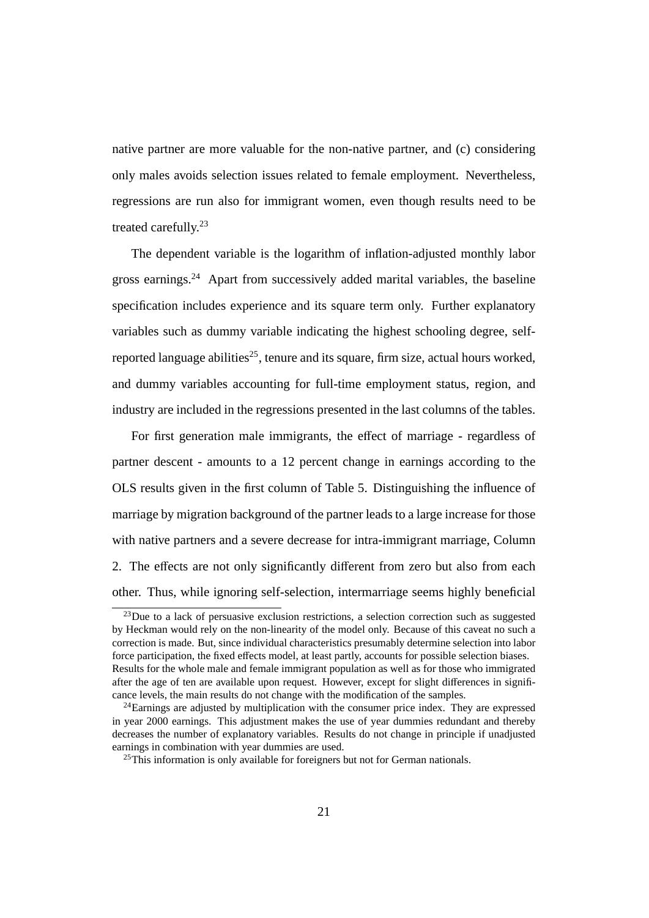native partner are more valuable for the non-native partner, and (c) considering only males avoids selection issues related to female employment. Nevertheless, regressions are run also for immigrant women, even though results need to be treated carefully.<sup>23</sup>

The dependent variable is the logarithm of inflation-adjusted monthly labor gross earnings.<sup>24</sup> Apart from successively added marital variables, the baseline specification includes experience and its square term only. Further explanatory variables such as dummy variable indicating the highest schooling degree, selfreported language abilities<sup>25</sup>, tenure and its square, firm size, actual hours worked, and dummy variables accounting for full-time employment status, region, and industry are included in the regressions presented in the last columns of the tables.

For first generation male immigrants, the effect of marriage - regardless of partner descent - amounts to a 12 percent change in earnings according to the OLS results given in the first column of Table 5. Distinguishing the influence of marriage by migration background of the partner leads to a large increase for those with native partners and a severe decrease for intra-immigrant marriage, Column 2. The effects are not only significantly different from zero but also from each other. Thus, while ignoring self-selection, intermarriage seems highly beneficial

 $^{23}$ Due to a lack of persuasive exclusion restrictions, a selection correction such as suggested by Heckman would rely on the non-linearity of the model only. Because of this caveat no such a correction is made. But, since individual characteristics presumably determine selection into labor force participation, the fixed effects model, at least partly, accounts for possible selection biases. Results for the whole male and female immigrant population as well as for those who immigrated after the age of ten are available upon request. However, except for slight differences in significance levels, the main results do not change with the modification of the samples.

 $^{24}$ Earnings are adjusted by multiplication with the consumer price index. They are expressed in year 2000 earnings. This adjustment makes the use of year dummies redundant and thereby decreases the number of explanatory variables. Results do not change in principle if unadjusted earnings in combination with year dummies are used.

 $^{25}$ This information is only available for foreigners but not for German nationals.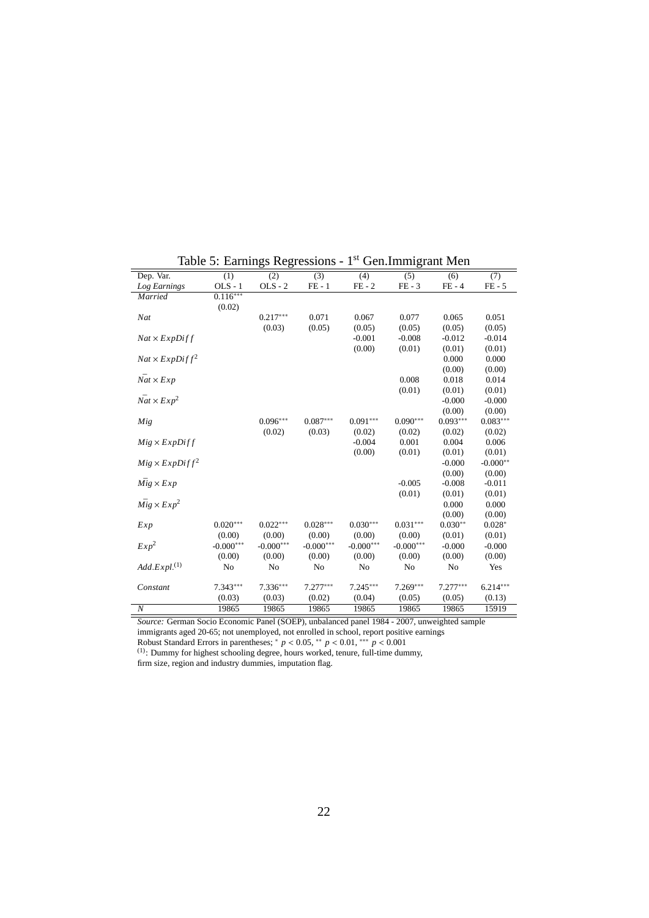| Dep. Var.                   | (1)         | $\overline{(2)}$ | $\overline{(3)}$ | (4)         | $\overline{(5)}$ | (6)        | (7)        |
|-----------------------------|-------------|------------------|------------------|-------------|------------------|------------|------------|
| Log Earnings                | $OLS - 1$   | $OLS - 2$        | $FE - 1$         | $FE - 2$    | $FE - 3$         | $FE - 4$   | $FE - 5$   |
| Married                     | $0.116***$  |                  |                  |             |                  |            |            |
|                             | (0.02)      |                  |                  |             |                  |            |            |
| Nat                         |             | $0.217***$       | 0.071            | 0.067       | 0.077            | 0.065      | 0.051      |
|                             |             | (0.03)           | (0.05)           | (0.05)      | (0.05)           | (0.05)     | (0.05)     |
| $Nat \times ExpDiff$        |             |                  |                  | $-0.001$    | $-0.008$         | $-0.012$   | $-0.014$   |
|                             |             |                  |                  | (0.00)      | (0.01)           | (0.01)     | (0.01)     |
| $Nat \times ExpDiff^2$      |             |                  |                  |             |                  | 0.000      | 0.000      |
|                             |             |                  |                  |             |                  | (0.00)     | (0.00)     |
| $\bar{Nat} \times Exp$      |             |                  |                  |             | 0.008            | 0.018      | 0.014      |
|                             |             |                  |                  |             | (0.01)           | (0.01)     | (0.01)     |
| $\bar{Nat} \times Exp^2$    |             |                  |                  |             |                  | $-0.000$   | $-0.000$   |
|                             |             |                  |                  |             |                  | (0.00)     | (0.00)     |
| Mig                         |             | $0.096***$       | $0.087***$       | $0.091***$  | $0.090***$       | $0.093***$ | $0.083***$ |
|                             |             | (0.02)           | (0.03)           | (0.02)      | (0.02)           | (0.02)     | (0.02)     |
| $Mig \times ExpDiff$        |             |                  |                  | $-0.004$    | 0.001            | 0.004      | 0.006      |
|                             |             |                  |                  | (0.00)      | (0.01)           | (0.01)     | (0.01)     |
| $Mig \times ExpDiff^2$      |             |                  |                  |             |                  | $-0.000$   | $-0.000**$ |
|                             |             |                  |                  |             |                  | (0.00)     | (0.00)     |
| $Mig \times Exp$            |             |                  |                  |             | $-0.005$         | $-0.008$   | $-0.011$   |
|                             |             |                  |                  |             | (0.01)           | (0.01)     | (0.01)     |
| $Mig \times Exp^2$          |             |                  |                  |             |                  | 0.000      | 0.000      |
|                             |             |                  |                  |             |                  | (0.00)     | (0.00)     |
| Exp                         | $0.020***$  | $0.022***$       | $0.028***$       | $0.030***$  | $0.031***$       | $0.030**$  | $0.028*$   |
|                             | (0.00)      | (0.00)           | (0.00)           | (0.00)      | (0.00)           | (0.01)     | (0.01)     |
| Exp <sup>2</sup>            | $-0.000***$ | $-0.000***$      | $-0.000***$      | $-0.000***$ | $-0.000***$      | $-0.000$   | $-0.000$   |
|                             | (0.00)      | (0.00)           | (0.00)           | (0.00)      | (0.00)           | (0.00)     | (0.00)     |
| $Add. Expl.$ <sup>(1)</sup> | No          | No               | No               | No          | No               | No         | Yes        |
|                             |             |                  |                  |             |                  |            |            |
| Constant                    | $7.343***$  | $7.336***$       | $7.277***$       | $7.245***$  | $7.269***$       | $7.277***$ | $6.214***$ |
|                             | (0.03)      | (0.03)           | (0.02)           | (0.04)      | (0.05)           | (0.05)     | (0.13)     |
| $\boldsymbol{N}$            | 19865       | 19865            | 19865            | 19865       | 19865            | 19865      | 15919      |

Table 5: Earnings Regressions - 1st Gen.Immigrant Men

*Source:* German Socio Economic Panel (SOEP), unbalanced panel 1984 - 2007, unweighted sample

immigrants aged 20-65; not unemployed, not enrolled in school, report positive earnings<br>Robust Standard Errors in parentheses; \*  $p < 0.05$ , \*\*  $p < 0.01$ , \*\*\*  $p < 0.001$ <br><sup>(1)</sup>: Dummy for highest schooling degree, hours wor

firm size, region and industry dummies, imputation flag.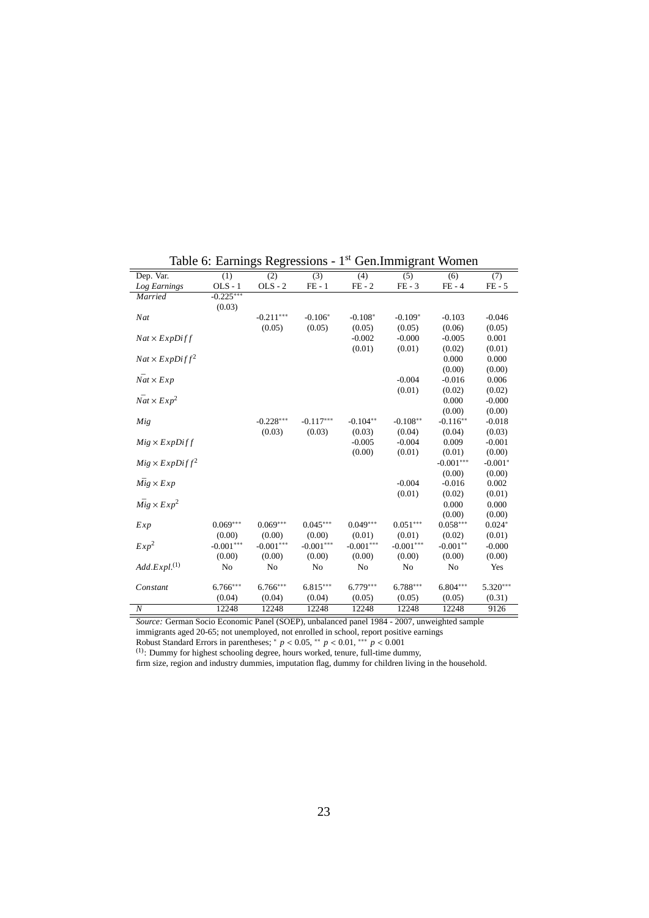| Dep. Var.                   | (1)         | (2)         | $\overline{(3)}$ | (4)         | $\overline{(5)}$ | (6)         | (7)        |
|-----------------------------|-------------|-------------|------------------|-------------|------------------|-------------|------------|
| Log Earnings                | $OLS - 1$   | $OLS - 2$   | $FE - 1$         | $FE - 2$    | $FE - 3$         | $FE - 4$    | $FE - 5$   |
| Married                     | $-0.225***$ |             |                  |             |                  |             |            |
|                             | (0.03)      |             |                  |             |                  |             |            |
| Nat                         |             | $-0.211***$ | $-0.106*$        | $-0.108*$   | $-0.109*$        | $-0.103$    | $-0.046$   |
|                             |             | (0.05)      | (0.05)           | (0.05)      | (0.05)           | (0.06)      | (0.05)     |
| $Nat \times ExpDiff$        |             |             |                  | $-0.002$    | $-0.000$         | $-0.005$    | 0.001      |
|                             |             |             |                  | (0.01)      | (0.01)           | (0.02)      | (0.01)     |
| $Nat \times ExpDiff^2$      |             |             |                  |             |                  | 0.000       | 0.000      |
|                             |             |             |                  |             |                  | (0.00)      | (0.00)     |
| $\bar{Nat} \times Exp$      |             |             |                  |             | $-0.004$         | $-0.016$    | 0.006      |
|                             |             |             |                  |             | (0.01)           | (0.02)      | (0.02)     |
| $\bar{Nat} \times Exp^2$    |             |             |                  |             |                  | 0.000       | $-0.000$   |
|                             |             |             |                  |             |                  | (0.00)      | (0.00)     |
| Mig                         |             | $-0.228***$ | $-0.117***$      | $-0.104**$  | $-0.108**$       | $-0.116**$  | $-0.018$   |
|                             |             | (0.03)      | (0.03)           | (0.03)      | (0.04)           | (0.04)      | (0.03)     |
| $Mig \times ExpDiff$        |             |             |                  | $-0.005$    | $-0.004$         | 0.009       | $-0.001$   |
|                             |             |             |                  | (0.00)      | (0.01)           | (0.01)      | (0.00)     |
| $Mig \times ExpDiff^2$      |             |             |                  |             |                  | $-0.001***$ | $-0.001*$  |
|                             |             |             |                  |             |                  | (0.00)      | (0.00)     |
| $Mig \times Exp$            |             |             |                  |             | $-0.004$         | $-0.016$    | 0.002      |
|                             |             |             |                  |             | (0.01)           | (0.02)      | (0.01)     |
| $Mig \times Exp^2$          |             |             |                  |             |                  | 0.000       | 0.000      |
|                             |             |             |                  |             |                  | (0.00)      | (0.00)     |
| Exp                         | $0.069***$  | $0.069***$  | $0.045***$       | $0.049***$  | $0.051***$       | $0.058***$  | $0.024*$   |
|                             | (0.00)      | (0.00)      | (0.00)           | (0.01)      | (0.01)           | (0.02)      | (0.01)     |
| Exp <sup>2</sup>            | $-0.001***$ | $-0.001***$ | $-0.001***$      | $-0.001***$ | $-0.001***$      | $-0.001**$  | $-0.000$   |
|                             | (0.00)      | (0.00)      | (0.00)           | (0.00)      | (0.00)           | (0.00)      | (0.00)     |
| $Add. Expl.$ <sup>(1)</sup> | No          | No          | No               | No          | No               | No          | Yes        |
|                             |             |             |                  |             |                  |             |            |
| Constant                    | 6.766***    | $6.766***$  | $6.815***$       | $6.779***$  | $6.788***$       | $6.804***$  | $5.320***$ |
|                             | (0.04)      | (0.04)      | (0.04)           | (0.05)      | (0.05)           | (0.05)      | (0.31)     |
| $\boldsymbol{N}$            | 12248       | 12248       | 12248            | 12248       | 12248            | 12248       | 9126       |

Table 6: Earnings Regressions - 1<sup>st</sup> Gen.Immigrant Women

*Source:* German Socio Economic Panel (SOEP), unbalanced panel 1984 - 2007, unweighted sample

immigrants aged 20-65; not unemployed, not enrolled in school, report positive earnings<br>Robust Standard Errors in parentheses; \*  $p < 0.05$ , \*\*  $p < 0.01$ , \*\*\*  $p < 0.001$ <br><sup>(1)</sup>: Dummy for highest schooling degree, hours wor

firm size, region and industry dummies, imputation flag, dummy for children living in the household.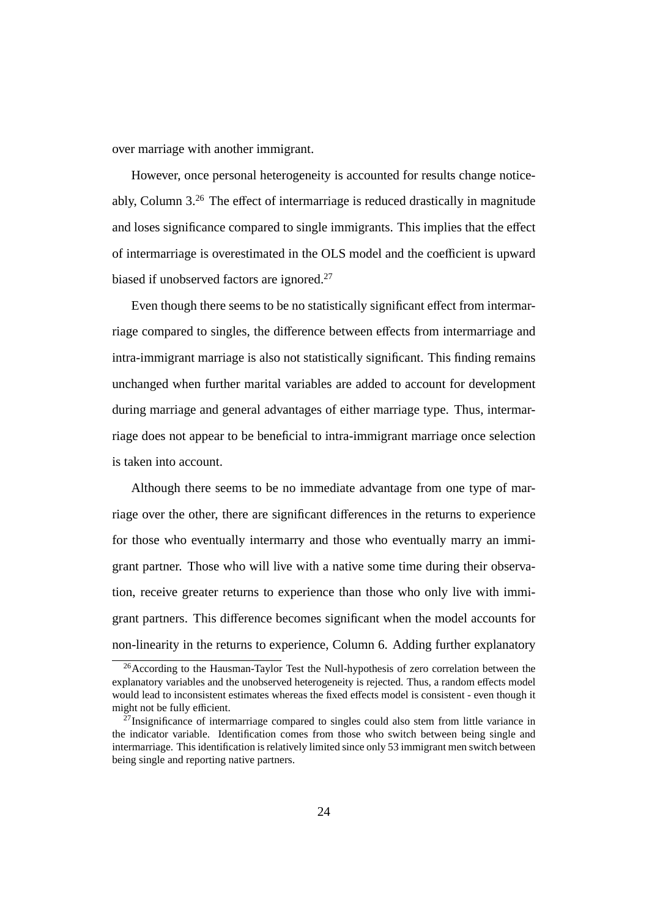over marriage with another immigrant.

However, once personal heterogeneity is accounted for results change noticeably, Column 3.<sup>26</sup> The effect of intermarriage is reduced drastically in magnitude and loses significance compared to single immigrants. This implies that the effect of intermarriage is overestimated in the OLS model and the coefficient is upward biased if unobserved factors are ignored.<sup>27</sup>

Even though there seems to be no statistically significant effect from intermarriage compared to singles, the difference between effects from intermarriage and intra-immigrant marriage is also not statistically significant. This finding remains unchanged when further marital variables are added to account for development during marriage and general advantages of either marriage type. Thus, intermarriage does not appear to be beneficial to intra-immigrant marriage once selection is taken into account.

Although there seems to be no immediate advantage from one type of marriage over the other, there are significant differences in the returns to experience for those who eventually intermarry and those who eventually marry an immigrant partner. Those who will live with a native some time during their observation, receive greater returns to experience than those who only live with immigrant partners. This difference becomes significant when the model accounts for non-linearity in the returns to experience, Column 6. Adding further explanatory

<sup>26</sup>According to the Hausman-Taylor Test the Null-hypothesis of zero correlation between the explanatory variables and the unobserved heterogeneity is rejected. Thus, a random effects model would lead to inconsistent estimates whereas the fixed effects model is consistent - even though it might not be fully efficient.

 $27$ Insignificance of intermarriage compared to singles could also stem from little variance in the indicator variable. Identification comes from those who switch between being single and intermarriage. This identification is relatively limited since only 53 immigrant men switch between being single and reporting native partners.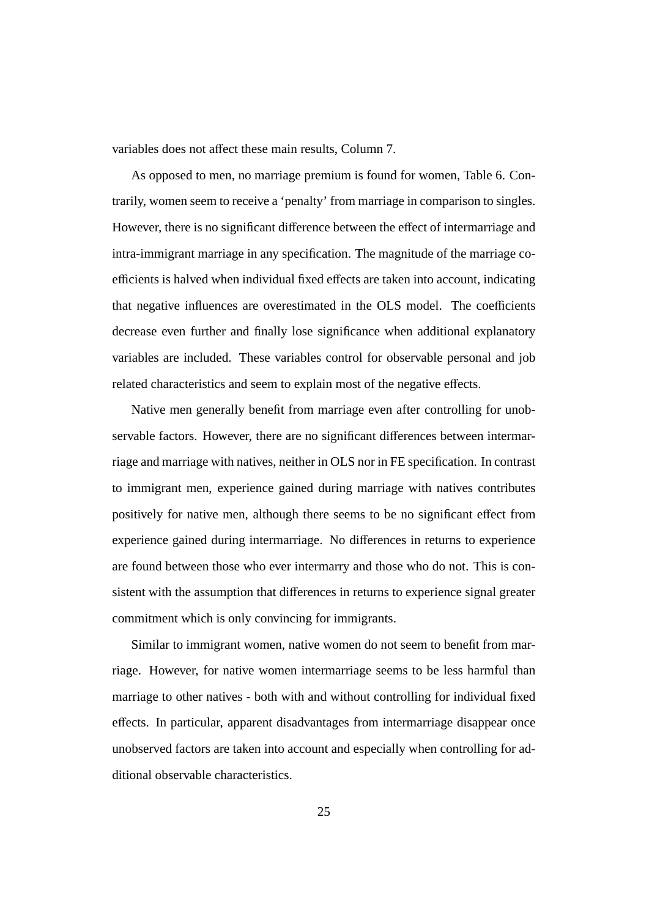variables does not affect these main results, Column 7.

As opposed to men, no marriage premium is found for women, Table 6. Contrarily, women seem to receive a 'penalty' from marriage in comparison to singles. However, there is no significant difference between the effect of intermarriage and intra-immigrant marriage in any specification. The magnitude of the marriage coefficients is halved when individual fixed effects are taken into account, indicating that negative influences are overestimated in the OLS model. The coefficients decrease even further and finally lose significance when additional explanatory variables are included. These variables control for observable personal and job related characteristics and seem to explain most of the negative effects.

Native men generally benefit from marriage even after controlling for unobservable factors. However, there are no significant differences between intermarriage and marriage with natives, neither in OLS nor in FE specification. In contrast to immigrant men, experience gained during marriage with natives contributes positively for native men, although there seems to be no significant effect from experience gained during intermarriage. No differences in returns to experience are found between those who ever intermarry and those who do not. This is consistent with the assumption that differences in returns to experience signal greater commitment which is only convincing for immigrants.

Similar to immigrant women, native women do not seem to benefit from marriage. However, for native women intermarriage seems to be less harmful than marriage to other natives - both with and without controlling for individual fixed effects. In particular, apparent disadvantages from intermarriage disappear once unobserved factors are taken into account and especially when controlling for additional observable characteristics.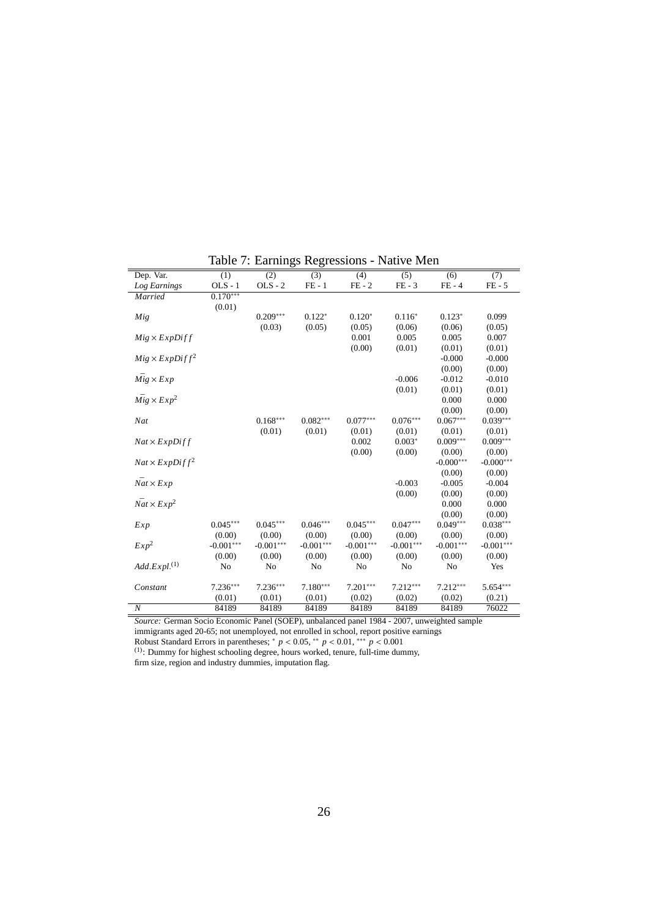| Dep. Var.                   | (1)         | (2)            | $\overline{(3)}$ | (4)            | $\overline{(5)}$ | $\overline{(6)}$ | (7)         |
|-----------------------------|-------------|----------------|------------------|----------------|------------------|------------------|-------------|
| Log Earnings                | $OLS - 1$   | $OLS - 2$      | $FE - 1$         | $FE - 2$       | $FE - 3$         | $FE - 4$         | $FE - 5$    |
| Married                     | $0.170***$  |                |                  |                |                  |                  |             |
|                             | (0.01)      |                |                  |                |                  |                  |             |
| Mig                         |             | $0.209***$     | $0.122*$         | $0.120*$       | $0.116*$         | $0.123*$         | 0.099       |
|                             |             | (0.03)         | (0.05)           | (0.05)         | (0.06)           | (0.06)           | (0.05)      |
| $Mig \times ExpDiff$        |             |                |                  | 0.001          | 0.005            | 0.005            | 0.007       |
|                             |             |                |                  | (0.00)         | (0.01)           | (0.01)           | (0.01)      |
| $Mig \times ExpDiff^2$      |             |                |                  |                |                  | $-0.000$         | $-0.000$    |
|                             |             |                |                  |                |                  | (0.00)           | (0.00)      |
| $Mig \times Exp$            |             |                |                  |                | $-0.006$         | $-0.012$         | $-0.010$    |
|                             |             |                |                  |                | (0.01)           | (0.01)           | (0.01)      |
| $Mig \times Exp^2$          |             |                |                  |                |                  | 0.000            | 0.000       |
|                             |             |                |                  |                |                  | (0.00)           | (0.00)      |
| Nat                         |             | $0.168***$     | $0.082***$       | $0.077***$     | $0.076***$       | $0.067***$       | $0.039***$  |
|                             |             | (0.01)         | (0.01)           | (0.01)         | (0.01)           | (0.01)           | (0.01)      |
| $Nat \times ExpDiff$        |             |                |                  | 0.002          | $0.003*$         | $0.009***$       | $0.009***$  |
|                             |             |                |                  | (0.00)         | (0.00)           | (0.00)           | (0.00)      |
| $Nat \times ExpDiff^2$      |             |                |                  |                |                  | $-0.000***$      | $-0.000***$ |
|                             |             |                |                  |                |                  | (0.00)           | (0.00)      |
| $\bar{Nat} \times Exp$      |             |                |                  |                | $-0.003$         | $-0.005$         | $-0.004$    |
|                             |             |                |                  |                | (0.00)           | (0.00)           | (0.00)      |
| $\bar{Nat} \times Exp^2$    |             |                |                  |                |                  | 0.000            | 0.000       |
|                             |             |                |                  |                |                  | (0.00)           | (0.00)      |
| Exp                         | $0.045***$  | $0.045***$     | $0.046***$       | $0.045***$     | $0.047***$       | $0.049***$       | $0.038***$  |
|                             | (0.00)      | (0.00)         | (0.00)           | (0.00)         | (0.00)           | (0.00)           | (0.00)      |
| $Exp^2$                     | $-0.001***$ | $-0.001***$    | $-0.001***$      | $-0.001***$    | $-0.001***$      | $-0.001***$      | $-0.001***$ |
|                             | (0.00)      | (0.00)         | (0.00)           | (0.00)         | (0.00)           | (0.00)           | (0.00)      |
| $Add. Expl.$ <sup>(1)</sup> | No          | N <sub>0</sub> | No               | N <sub>0</sub> | No               | No               | Yes         |
|                             |             |                |                  |                |                  |                  |             |
| Constant                    | $7.236***$  | $7.236***$     | $7.180***$       | $7.201***$     | $7.212***$       | $7.212***$       | $5.654***$  |
|                             | (0.01)      | (0.01)         | (0.01)           | (0.02)         | (0.02)           | (0.02)           | (0.21)      |
| $\boldsymbol{N}$            | 84189       | 84189          | 84189            | 84189          | 84189            | 84189            | 76022       |

Table 7: Earnings Regressions - Native Men

*Source:* German Socio Economic Panel (SOEP), unbalanced panel 1984 - 2007, unweighted sample

immigrants aged 20-65; not unemployed, not enrolled in school, report positive earnings<br>Robust Standard Errors in parentheses; \*  $p < 0.05$ , \*\*  $p < 0.01$ , \*\*\*  $p < 0.001$ <br><sup>(1)</sup>: Dummy for highest schooling degree, hours wor

firm size, region and industry dummies, imputation flag.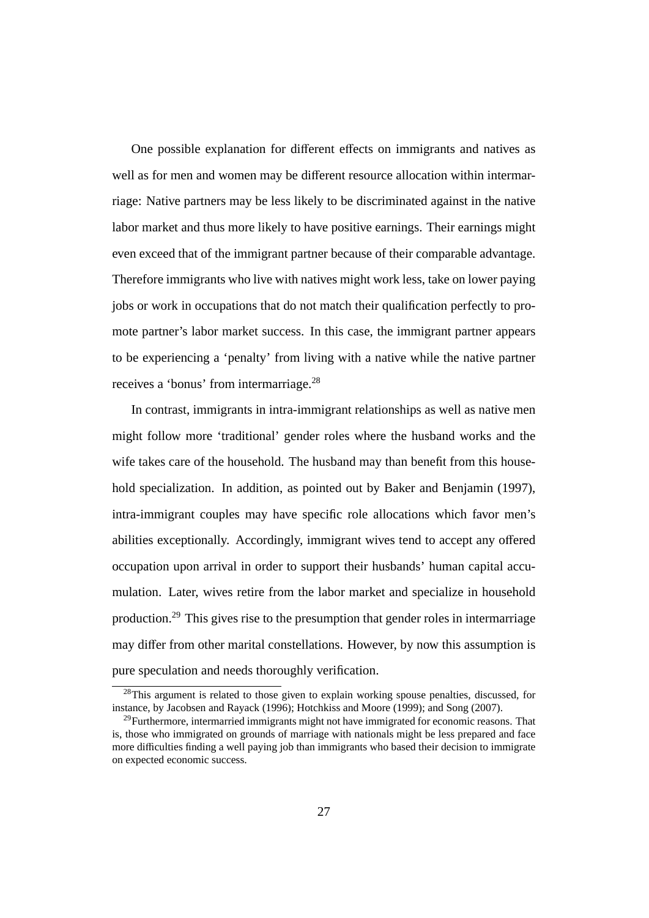One possible explanation for different effects on immigrants and natives as well as for men and women may be different resource allocation within intermarriage: Native partners may be less likely to be discriminated against in the native labor market and thus more likely to have positive earnings. Their earnings might even exceed that of the immigrant partner because of their comparable advantage. Therefore immigrants who live with natives might work less, take on lower paying jobs or work in occupations that do not match their qualification perfectly to promote partner's labor market success. In this case, the immigrant partner appears to be experiencing a 'penalty' from living with a native while the native partner receives a 'bonus' from intermarriage.<sup>28</sup>

In contrast, immigrants in intra-immigrant relationships as well as native men might follow more 'traditional' gender roles where the husband works and the wife takes care of the household. The husband may than benefit from this household specialization. In addition, as pointed out by Baker and Benjamin (1997), intra-immigrant couples may have specific role allocations which favor men's abilities exceptionally. Accordingly, immigrant wives tend to accept any offered occupation upon arrival in order to support their husbands' human capital accumulation. Later, wives retire from the labor market and specialize in household production.<sup>29</sup> This gives rise to the presumption that gender roles in intermarriage may differ from other marital constellations. However, by now this assumption is pure speculation and needs thoroughly verification.

 $28$ This argument is related to those given to explain working spouse penalties, discussed, for instance, by Jacobsen and Rayack (1996); Hotchkiss and Moore (1999); and Song (2007).

 $29$ Furthermore, intermarried immigrants might not have immigrated for economic reasons. That is, those who immigrated on grounds of marriage with nationals might be less prepared and face more difficulties finding a well paying job than immigrants who based their decision to immigrate on expected economic success.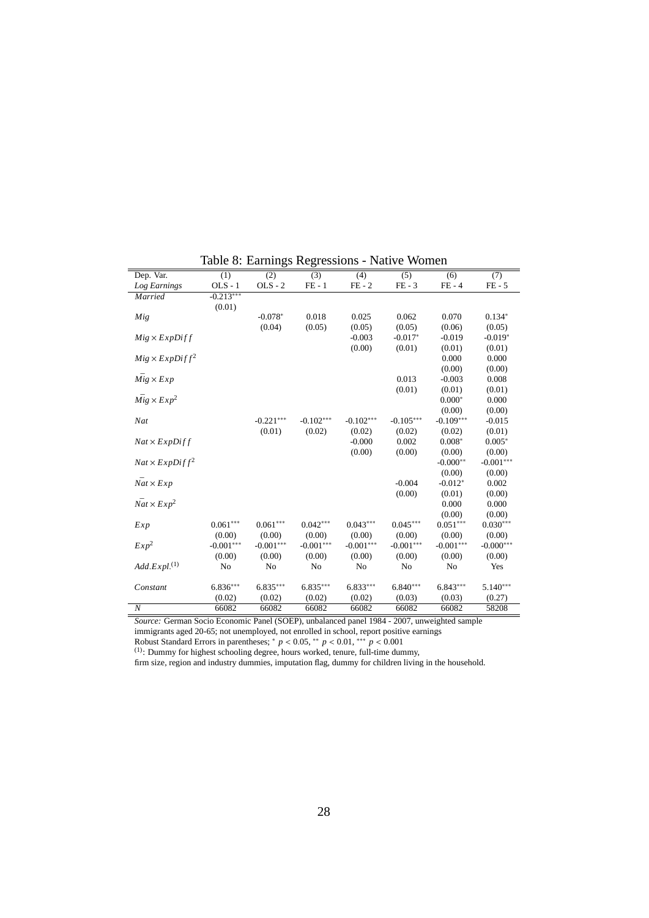| Dep. Var.                   | (1)         | (2)            | $\overline{(3)}$ | (4)            | $\overline{(5)}$ | $\overline{(6)}$ | (7)         |
|-----------------------------|-------------|----------------|------------------|----------------|------------------|------------------|-------------|
| Log Earnings                | $OLS - 1$   | $OLS - 2$      | $FE - 1$         | $FE - 2$       | $FE - 3$         | $FE - 4$         | $FE - 5$    |
| Married                     | $-0.213***$ |                |                  |                |                  |                  |             |
|                             | (0.01)      |                |                  |                |                  |                  |             |
| Mig                         |             | $-0.078*$      | 0.018            | 0.025          | 0.062            | 0.070            | $0.134*$    |
|                             |             | (0.04)         | (0.05)           | (0.05)         | (0.05)           | (0.06)           | (0.05)      |
| $Mig \times ExpDiff$        |             |                |                  | $-0.003$       | $-0.017*$        | $-0.019$         | $-0.019*$   |
|                             |             |                |                  | (0.00)         | (0.01)           | (0.01)           | (0.01)      |
| $Mig \times ExpDiff^2$      |             |                |                  |                |                  | 0.000            | 0.000       |
|                             |             |                |                  |                |                  | (0.00)           | (0.00)      |
| $Mig \times Exp$            |             |                |                  |                | 0.013            | $-0.003$         | 0.008       |
|                             |             |                |                  |                | (0.01)           | (0.01)           | (0.01)      |
| $Mig \times Exp^2$          |             |                |                  |                |                  | $0.000*$         | 0.000       |
|                             |             |                |                  |                |                  | (0.00)           | (0.00)      |
| Nat                         |             | $-0.221***$    | $-0.102***$      | $-0.102***$    | $-0.105***$      | $-0.109***$      | $-0.015$    |
|                             |             | (0.01)         | (0.02)           | (0.02)         | (0.02)           | (0.02)           | (0.01)      |
| $Nat \times ExpDiff$        |             |                |                  | $-0.000$       | 0.002            | $0.008*$         | $0.005*$    |
|                             |             |                |                  | (0.00)         | (0.00)           | (0.00)           | (0.00)      |
| $Nat \times ExpDiff^2$      |             |                |                  |                |                  | $-0.000**$       | $-0.001***$ |
|                             |             |                |                  |                |                  | (0.00)           | (0.00)      |
| $\bar{Nat} \times Exp$      |             |                |                  |                | $-0.004$         | $-0.012*$        | 0.002       |
|                             |             |                |                  |                | (0.00)           | (0.01)           | (0.00)      |
| $\bar{Nat} \times Exp^2$    |             |                |                  |                |                  | 0.000            | 0.000       |
|                             |             |                |                  |                |                  | (0.00)           | (0.00)      |
| Exp                         | $0.061***$  | $0.061***$     | $0.042***$       | $0.043***$     | $0.045***$       | $0.051***$       | $0.030***$  |
|                             | (0.00)      | (0.00)         | (0.00)           | (0.00)         | (0.00)           | (0.00)           | (0.00)      |
| Exp <sup>2</sup>            | $-0.001***$ | $-0.001***$    | $-0.001***$      | $-0.001***$    | $-0.001***$      | $-0.001***$      | $-0.000***$ |
|                             | (0.00)      | (0.00)         | (0.00)           | (0.00)         | (0.00)           | (0.00)           | (0.00)      |
| $Add. Expl.$ <sup>(1)</sup> | No          | N <sub>o</sub> | No               | N <sub>0</sub> | N <sub>0</sub>   | No               | Yes         |
|                             |             |                |                  |                |                  |                  |             |
| Constant                    | $6.836***$  | $6.835***$     | $6.835***$       | $6.833***$     | $6.840***$       | $6.843***$       | $5.140***$  |
|                             | (0.02)      | (0.02)         | (0.02)           | (0.02)         | (0.03)           | (0.03)           | (0.27)      |
| $\overline{N}$              | 66082       | 66082          | 66082            | 66082          | 66082            | 66082            | 58208       |

Table 8: Earnings Regressions - Native Women

*Source:* German Socio Economic Panel (SOEP), unbalanced panel 1984 - 2007, unweighted sample

immigrants aged 20-65; not unemployed, not enrolled in school, report positive earnings<br>Robust Standard Errors in parentheses; \*  $p < 0.05$ , \*\*  $p < 0.01$ , \*\*\*  $p < 0.001$ <br><sup>(1)</sup>: Dummy for highest schooling degree, hours wor

firm size, region and industry dummies, imputation flag, dummy for children living in the household.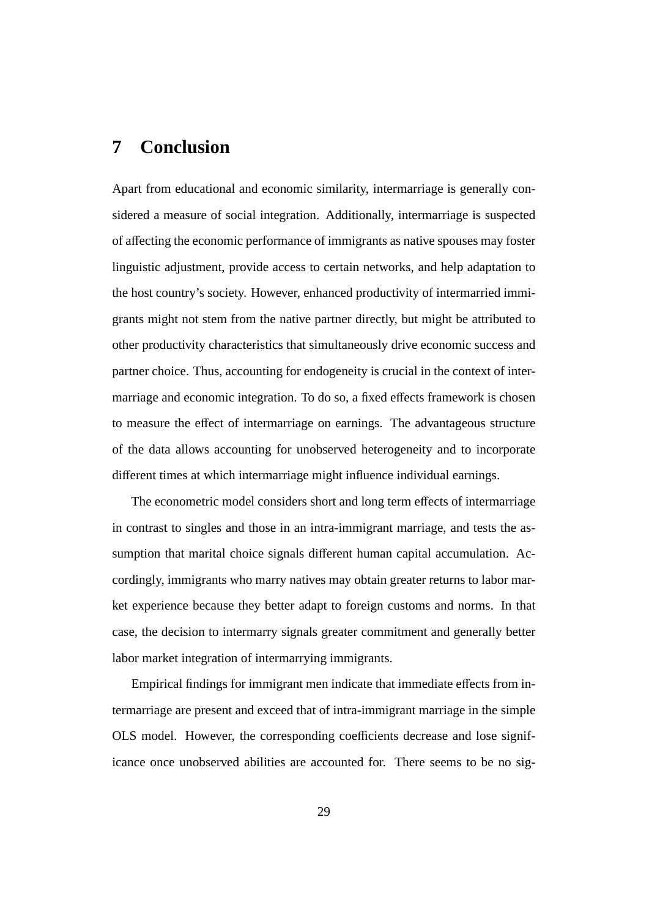## **7 Conclusion**

Apart from educational and economic similarity, intermarriage is generally considered a measure of social integration. Additionally, intermarriage is suspected of affecting the economic performance of immigrants as native spouses may foster linguistic adjustment, provide access to certain networks, and help adaptation to the host country's society. However, enhanced productivity of intermarried immigrants might not stem from the native partner directly, but might be attributed to other productivity characteristics that simultaneously drive economic success and partner choice. Thus, accounting for endogeneity is crucial in the context of intermarriage and economic integration. To do so, a fixed effects framework is chosen to measure the effect of intermarriage on earnings. The advantageous structure of the data allows accounting for unobserved heterogeneity and to incorporate different times at which intermarriage might influence individual earnings.

The econometric model considers short and long term effects of intermarriage in contrast to singles and those in an intra-immigrant marriage, and tests the assumption that marital choice signals different human capital accumulation. Accordingly, immigrants who marry natives may obtain greater returns to labor market experience because they better adapt to foreign customs and norms. In that case, the decision to intermarry signals greater commitment and generally better labor market integration of intermarrying immigrants.

Empirical findings for immigrant men indicate that immediate effects from intermarriage are present and exceed that of intra-immigrant marriage in the simple OLS model. However, the corresponding coefficients decrease and lose significance once unobserved abilities are accounted for. There seems to be no sig-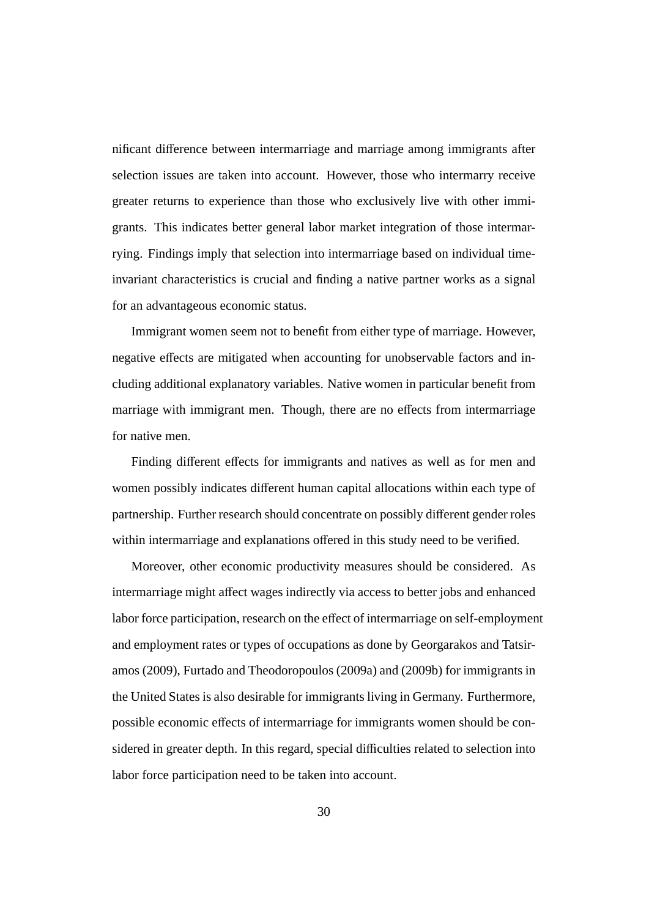nificant difference between intermarriage and marriage among immigrants after selection issues are taken into account. However, those who intermarry receive greater returns to experience than those who exclusively live with other immigrants. This indicates better general labor market integration of those intermarrying. Findings imply that selection into intermarriage based on individual timeinvariant characteristics is crucial and finding a native partner works as a signal for an advantageous economic status.

Immigrant women seem not to benefit from either type of marriage. However, negative effects are mitigated when accounting for unobservable factors and including additional explanatory variables. Native women in particular benefit from marriage with immigrant men. Though, there are no effects from intermarriage for native men.

Finding different effects for immigrants and natives as well as for men and women possibly indicates different human capital allocations within each type of partnership. Further research should concentrate on possibly different gender roles within intermarriage and explanations offered in this study need to be verified.

Moreover, other economic productivity measures should be considered. As intermarriage might affect wages indirectly via access to better jobs and enhanced labor force participation, research on the effect of intermarriage on self-employment and employment rates or types of occupations as done by Georgarakos and Tatsiramos (2009), Furtado and Theodoropoulos (2009a) and (2009b) for immigrants in the United States is also desirable for immigrants living in Germany. Furthermore, possible economic effects of intermarriage for immigrants women should be considered in greater depth. In this regard, special difficulties related to selection into labor force participation need to be taken into account.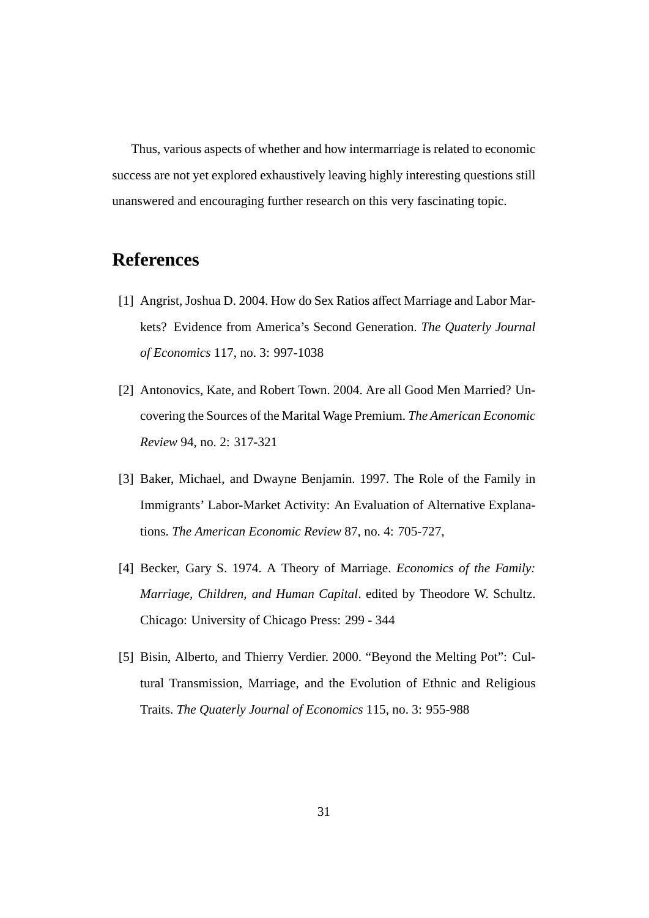Thus, various aspects of whether and how intermarriage is related to economic success are not yet explored exhaustively leaving highly interesting questions still unanswered and encouraging further research on this very fascinating topic.

## **References**

- [1] Angrist, Joshua D. 2004. How do Sex Ratios affect Marriage and Labor Markets? Evidence from America's Second Generation. *The Quaterly Journal of Economics* 117, no. 3: 997-1038
- [2] Antonovics, Kate, and Robert Town. 2004. Are all Good Men Married? Uncovering the Sources of the Marital Wage Premium. *The American Economic Review* 94, no. 2: 317-321
- [3] Baker, Michael, and Dwayne Benjamin. 1997. The Role of the Family in Immigrants' Labor-Market Activity: An Evaluation of Alternative Explanations. *The American Economic Review* 87, no. 4: 705-727,
- [4] Becker, Gary S. 1974. A Theory of Marriage. *Economics of the Family: Marriage, Children, and Human Capital*. edited by Theodore W. Schultz. Chicago: University of Chicago Press: 299 - 344
- [5] Bisin, Alberto, and Thierry Verdier. 2000. "Beyond the Melting Pot": Cultural Transmission, Marriage, and the Evolution of Ethnic and Religious Traits. *The Quaterly Journal of Economics* 115, no. 3: 955-988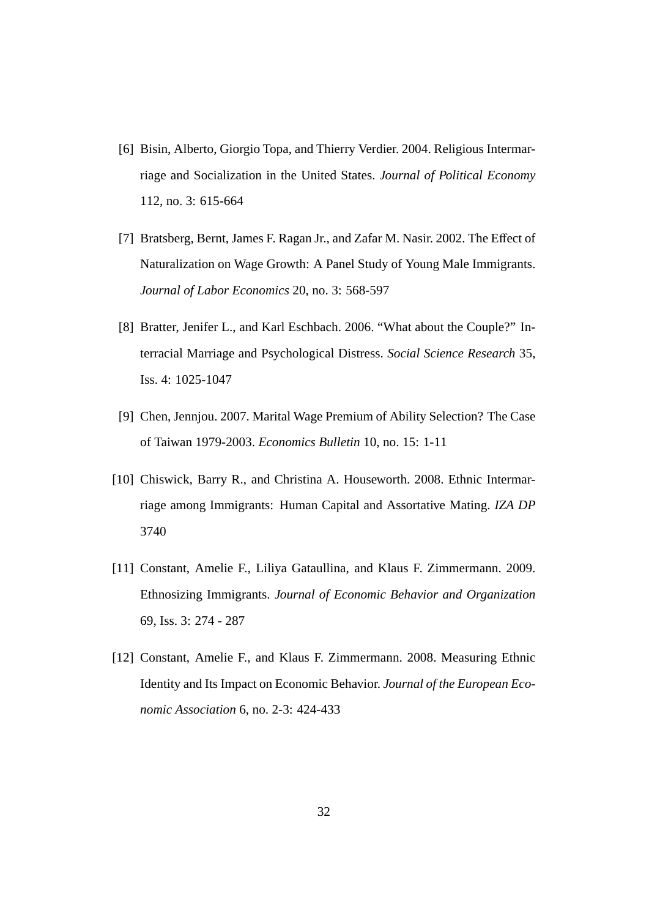- [6] Bisin, Alberto, Giorgio Topa, and Thierry Verdier. 2004. Religious Intermarriage and Socialization in the United States. *Journal of Political Economy* 112, no. 3: 615-664
- [7] Bratsberg, Bernt, James F. Ragan Jr., and Zafar M. Nasir. 2002. The Effect of Naturalization on Wage Growth: A Panel Study of Young Male Immigrants. *Journal of Labor Economics* 20, no. 3: 568-597
- [8] Bratter, Jenifer L., and Karl Eschbach. 2006. "What about the Couple?" Interracial Marriage and Psychological Distress. *Social Science Research* 35, Iss. 4: 1025-1047
- [9] Chen, Jennjou. 2007. Marital Wage Premium of Ability Selection? The Case of Taiwan 1979-2003. *Economics Bulletin* 10, no. 15: 1-11
- [10] Chiswick, Barry R., and Christina A. Houseworth. 2008. Ethnic Intermarriage among Immigrants: Human Capital and Assortative Mating. *IZA DP* 3740
- [11] Constant, Amelie F., Liliya Gataullina, and Klaus F. Zimmermann. 2009. Ethnosizing Immigrants. *Journal of Economic Behavior and Organization* 69, Iss. 3: 274 - 287
- [12] Constant, Amelie F., and Klaus F. Zimmermann. 2008. Measuring Ethnic Identity and Its Impact on Economic Behavior. *Journal of the European Economic Association* 6, no. 2-3: 424-433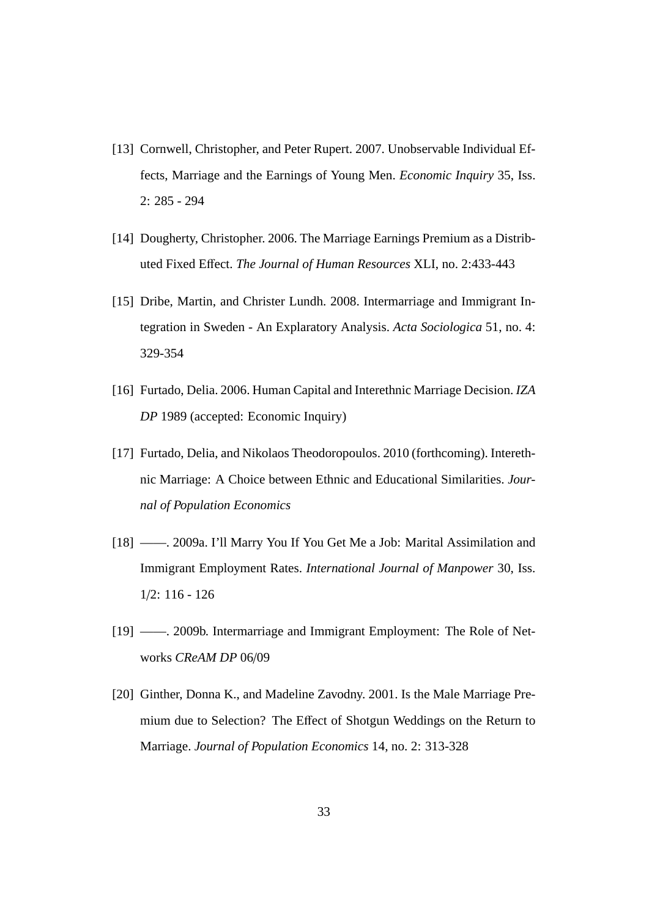- [13] Cornwell, Christopher, and Peter Rupert. 2007. Unobservable Individual Effects, Marriage and the Earnings of Young Men. *Economic Inquiry* 35, Iss. 2: 285 - 294
- [14] Dougherty, Christopher. 2006. The Marriage Earnings Premium as a Distributed Fixed Effect. *The Journal of Human Resources* XLI, no. 2:433-443
- [15] Dribe, Martin, and Christer Lundh. 2008. Intermarriage and Immigrant Integration in Sweden - An Explaratory Analysis. *Acta Sociologica* 51, no. 4: 329-354
- [16] Furtado, Delia. 2006. Human Capital and Interethnic Marriage Decision. *IZA DP* 1989 (accepted: Economic Inquiry)
- [17] Furtado, Delia, and Nikolaos Theodoropoulos. 2010 (forthcoming). Interethnic Marriage: A Choice between Ethnic and Educational Similarities. *Journal of Population Economics*
- [18] ——. 2009a. I'll Marry You If You Get Me a Job: Marital Assimilation and Immigrant Employment Rates. *International Journal of Manpower* 30, Iss. 1/2: 116 - 126
- [19] ——. 2009b. Intermarriage and Immigrant Employment: The Role of Networks *CReAM DP* 06/09
- [20] Ginther, Donna K., and Madeline Zavodny. 2001. Is the Male Marriage Premium due to Selection? The Effect of Shotgun Weddings on the Return to Marriage. *Journal of Population Economics* 14, no. 2: 313-328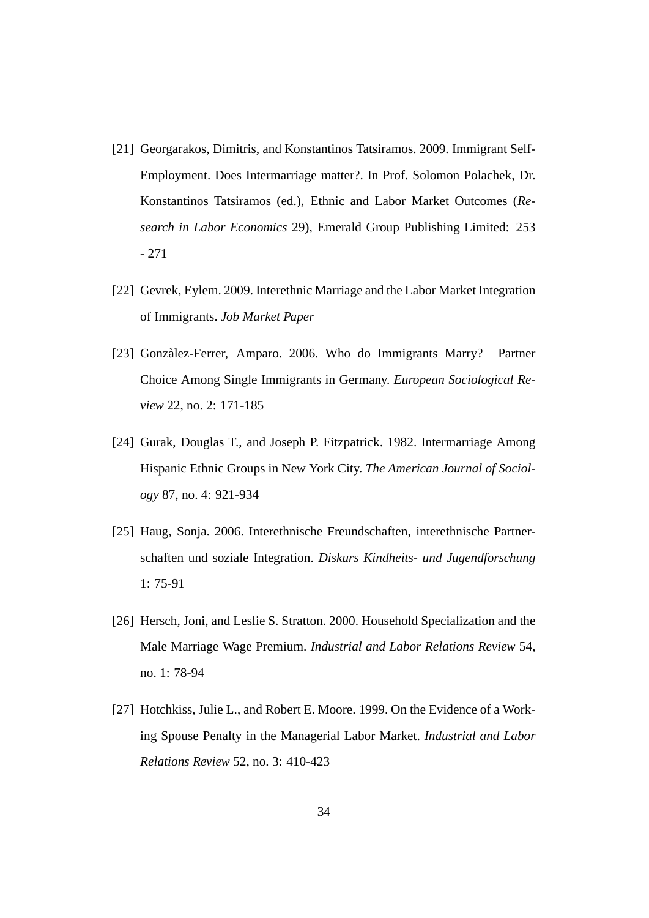- [21] Georgarakos, Dimitris, and Konstantinos Tatsiramos. 2009. Immigrant Self-Employment. Does Intermarriage matter?. In Prof. Solomon Polachek, Dr. Konstantinos Tatsiramos (ed.), Ethnic and Labor Market Outcomes (*Research in Labor Economics* 29), Emerald Group Publishing Limited: 253 - 271
- [22] Gevrek, Eylem. 2009. Interethnic Marriage and the Labor Market Integration of Immigrants. *Job Market Paper*
- [23] Gonzàlez-Ferrer, Amparo. 2006. Who do Immigrants Marry? Partner Choice Among Single Immigrants in Germany. *European Sociological Review* 22, no. 2: 171-185
- [24] Gurak, Douglas T., and Joseph P. Fitzpatrick. 1982. Intermarriage Among Hispanic Ethnic Groups in New York City. *The American Journal of Sociology* 87, no. 4: 921-934
- [25] Haug, Sonja. 2006. Interethnische Freundschaften, interethnische Partnerschaften und soziale Integration. *Diskurs Kindheits- und Jugendforschung* 1: 75-91
- [26] Hersch, Joni, and Leslie S. Stratton. 2000. Household Specialization and the Male Marriage Wage Premium. *Industrial and Labor Relations Review* 54, no. 1: 78-94
- [27] Hotchkiss, Julie L., and Robert E. Moore. 1999. On the Evidence of a Working Spouse Penalty in the Managerial Labor Market. *Industrial and Labor Relations Review* 52, no. 3: 410-423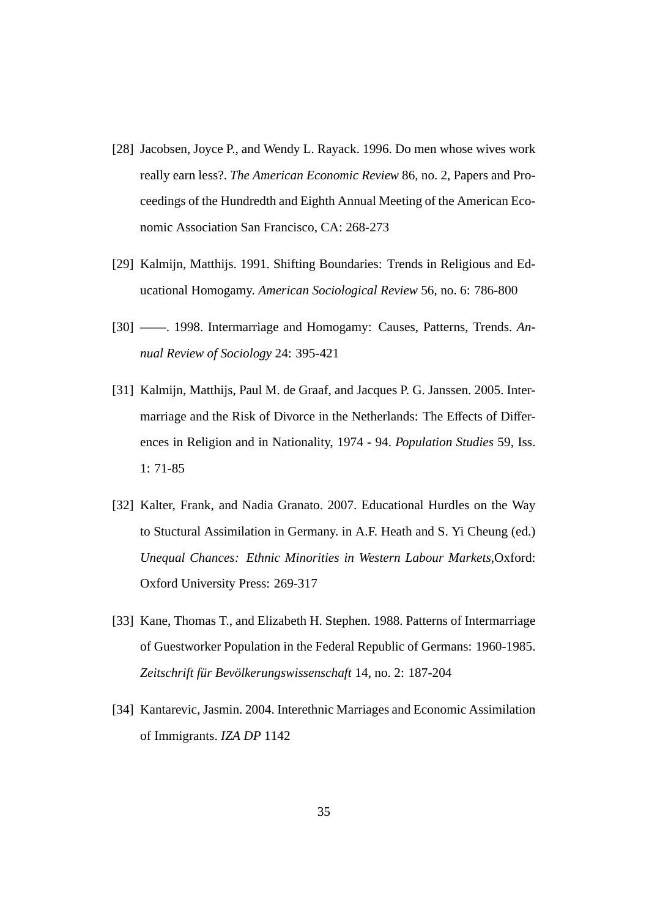- [28] Jacobsen, Joyce P., and Wendy L. Rayack. 1996. Do men whose wives work really earn less?. *The American Economic Review* 86, no. 2, Papers and Proceedings of the Hundredth and Eighth Annual Meeting of the American Economic Association San Francisco, CA: 268-273
- [29] Kalmijn, Matthijs. 1991. Shifting Boundaries: Trends in Religious and Educational Homogamy. *American Sociological Review* 56, no. 6: 786-800
- [30] ——. 1998. Intermarriage and Homogamy: Causes, Patterns, Trends. *Annual Review of Sociology* 24: 395-421
- [31] Kalmijn, Matthijs, Paul M. de Graaf, and Jacques P. G. Janssen. 2005. Intermarriage and the Risk of Divorce in the Netherlands: The Effects of Differences in Religion and in Nationality, 1974 - 94. *Population Studies* 59, Iss. 1: 71-85
- [32] Kalter, Frank, and Nadia Granato. 2007. Educational Hurdles on the Way to Stuctural Assimilation in Germany. in A.F. Heath and S. Yi Cheung (ed.) *Unequal Chances: Ethnic Minorities in Western Labour Markets*,Oxford: Oxford University Press: 269-317
- [33] Kane, Thomas T., and Elizabeth H. Stephen. 1988. Patterns of Intermarriage of Guestworker Population in the Federal Republic of Germans: 1960-1985. Zeitschrift für Bevölkerungswissenschaft 14, no. 2: 187-204
- [34] Kantarevic, Jasmin. 2004. Interethnic Marriages and Economic Assimilation of Immigrants. *IZA DP* 1142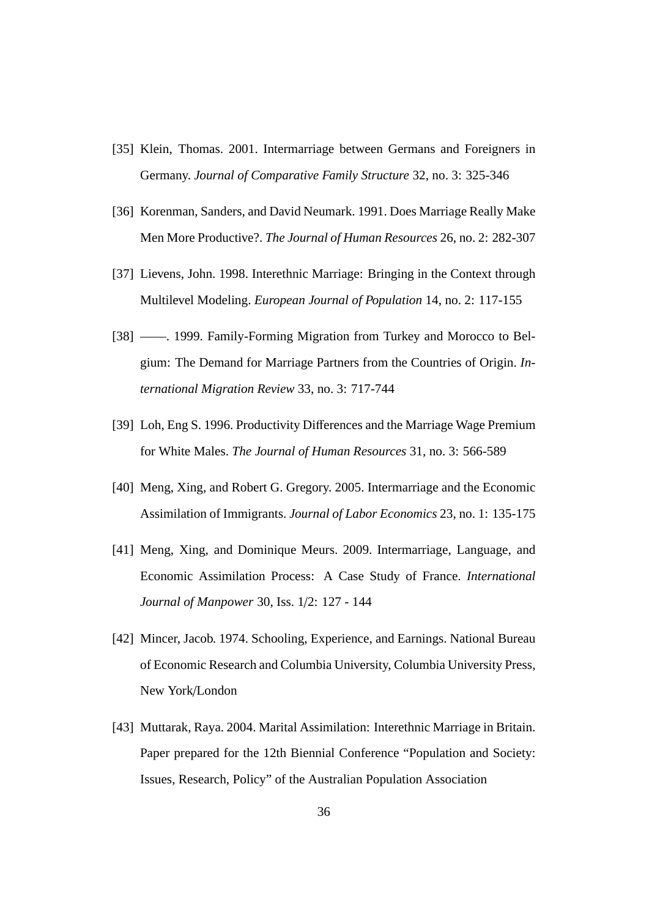- [35] Klein, Thomas. 2001. Intermarriage between Germans and Foreigners in Germany. *Journal of Comparative Family Structure* 32, no. 3: 325-346
- [36] Korenman, Sanders, and David Neumark. 1991. Does Marriage Really Make Men More Productive?. *The Journal of Human Resources* 26, no. 2: 282-307
- [37] Lievens, John. 1998. Interethnic Marriage: Bringing in the Context through Multilevel Modeling. *European Journal of Population* 14, no. 2: 117-155
- [38] ——. 1999. Family-Forming Migration from Turkey and Morocco to Belgium: The Demand for Marriage Partners from the Countries of Origin. *International Migration Review* 33, no. 3: 717-744
- [39] Loh, Eng S. 1996. Productivity Differences and the Marriage Wage Premium for White Males. *The Journal of Human Resources* 31, no. 3: 566-589
- [40] Meng, Xing, and Robert G. Gregory. 2005. Intermarriage and the Economic Assimilation of Immigrants. *Journal of Labor Economics* 23, no. 1: 135-175
- [41] Meng, Xing, and Dominique Meurs. 2009. Intermarriage, Language, and Economic Assimilation Process: A Case Study of France. *International Journal of Manpower* 30, Iss. 1/2: 127 - 144
- [42] Mincer, Jacob. 1974. Schooling, Experience, and Earnings. National Bureau of Economic Research and Columbia University, Columbia University Press, New York/London
- [43] Muttarak, Raya. 2004. Marital Assimilation: Interethnic Marriage in Britain. Paper prepared for the 12th Biennial Conference "Population and Society: Issues, Research, Policy" of the Australian Population Association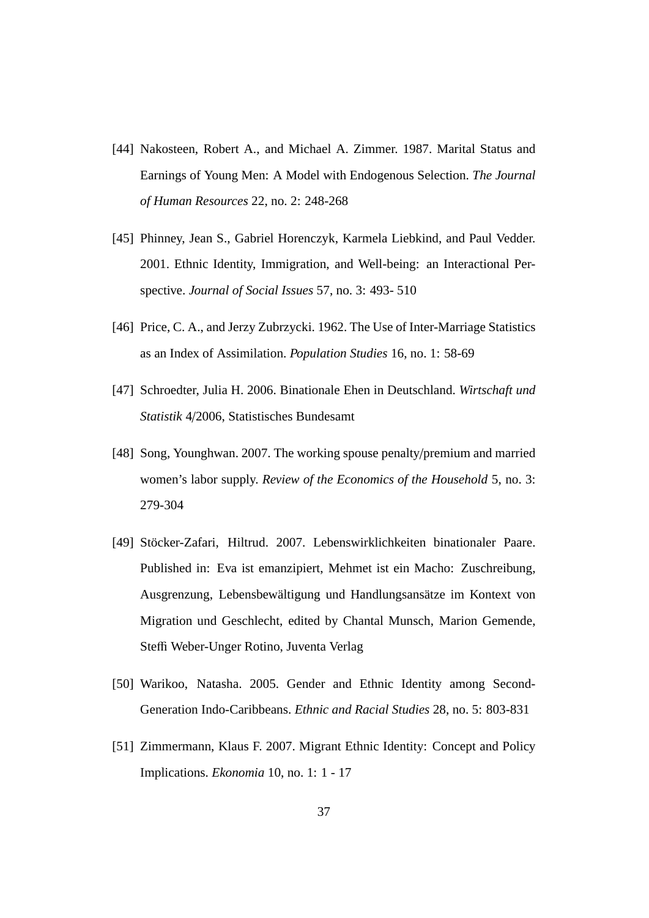- [44] Nakosteen, Robert A., and Michael A. Zimmer. 1987. Marital Status and Earnings of Young Men: A Model with Endogenous Selection. *The Journal of Human Resources* 22, no. 2: 248-268
- [45] Phinney, Jean S., Gabriel Horenczyk, Karmela Liebkind, and Paul Vedder. 2001. Ethnic Identity, Immigration, and Well-being: an Interactional Perspective. *Journal of Social Issues* 57, no. 3: 493- 510
- [46] Price, C. A., and Jerzy Zubrzycki. 1962. The Use of Inter-Marriage Statistics as an Index of Assimilation. *Population Studies* 16, no. 1: 58-69
- [47] Schroedter, Julia H. 2006. Binationale Ehen in Deutschland. *Wirtschaft und Statistik* 4/2006, Statistisches Bundesamt
- [48] Song, Younghwan. 2007. The working spouse penalty/premium and married women's labor supply. *Review of the Economics of the Household* 5, no. 3: 279-304
- [49] Stöcker-Zafari, Hiltrud. 2007. Lebenswirklichkeiten binationaler Paare. Published in: Eva ist emanzipiert, Mehmet ist ein Macho: Zuschreibung, Ausgrenzung, Lebensbewältigung und Handlungsansätze im Kontext von Migration und Geschlecht, edited by Chantal Munsch, Marion Gemende, Steffi Weber-Unger Rotino, Juventa Verlag
- [50] Warikoo, Natasha. 2005. Gender and Ethnic Identity among Second-Generation Indo-Caribbeans. *Ethnic and Racial Studies* 28, no. 5: 803-831
- [51] Zimmermann, Klaus F. 2007. Migrant Ethnic Identity: Concept and Policy Implications. *Ekonomia* 10, no. 1: 1 - 17